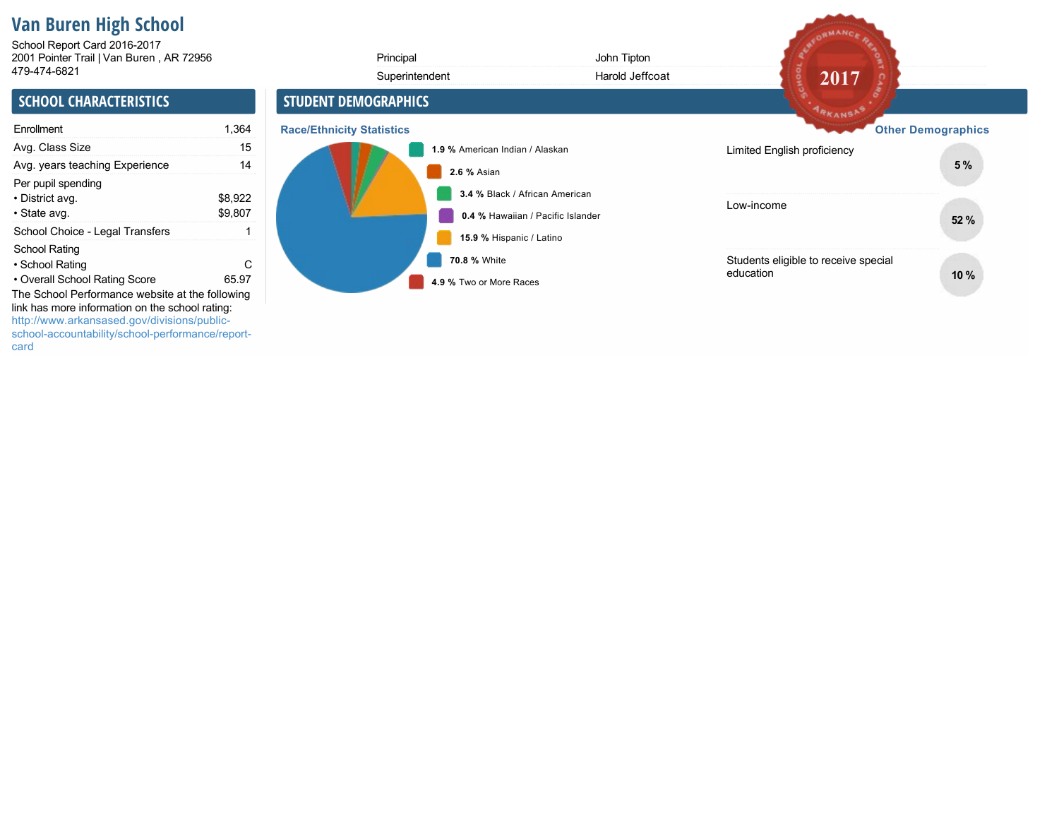# **Van Buren High School**

2001 Pointer Trail | Van Buren , AR 72956 School Report Card 2016-2017

| 2001 Pointer Trail   Van Buren, AR 72956                                                                                                                                |                    | Principal                        |                                         | John Tipton                       |                                                   |                           |
|-------------------------------------------------------------------------------------------------------------------------------------------------------------------------|--------------------|----------------------------------|-----------------------------------------|-----------------------------------|---------------------------------------------------|---------------------------|
| 479-474-6821                                                                                                                                                            |                    |                                  | Superintendent                          | Harold Jeffcoat                   | 2017                                              |                           |
| <b>SCHOOL CHARACTERISTICS</b>                                                                                                                                           |                    | <b>STUDENT DEMOGRAPHICS</b>      |                                         |                                   | <b>ARKANSAS</b>                                   |                           |
| Enrollment                                                                                                                                                              | 1,364              | <b>Race/Ethnicity Statistics</b> |                                         |                                   |                                                   | <b>Other Demographics</b> |
| Avg. Class Size                                                                                                                                                         | 15                 |                                  | 1.9 % American Indian / Alaskan         |                                   | Limited English proficiency                       |                           |
| Avg. years teaching Experience                                                                                                                                          | 14                 |                                  | 2.6 % Asian                             |                                   |                                                   | 5%                        |
| Per pupil spending<br>• District avg.<br>• State avg.                                                                                                                   | \$8,922<br>\$9,807 |                                  | 3.4 % Black / African American          | 0.4 % Hawaiian / Pacific Islander | Low-income                                        | 52 %                      |
| School Choice - Legal Transfers                                                                                                                                         |                    |                                  | 15.9 % Hispanic / Latino                |                                   |                                                   |                           |
| School Rating<br>• School Rating<br>• Overall School Rating Score<br>The School Performance website at the following<br>link has more information on the school rating: | C<br>65.97         |                                  | 70.8 % White<br>4.9 % Two or More Races |                                   | Students eligible to receive special<br>education | 10%                       |
| http://www.arkansased.gov/divisions/public-<br>school-accountability/school-performance/report-                                                                         |                    |                                  |                                         |                                   |                                                   |                           |

AFORMANCE RE

card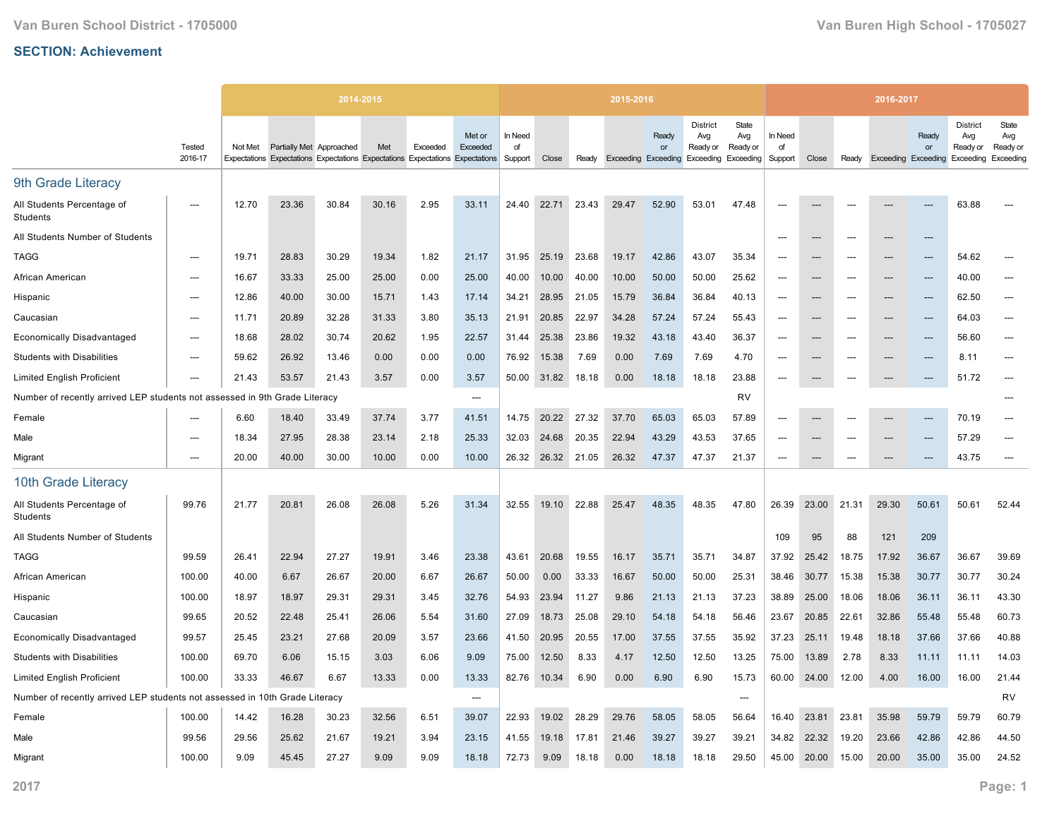|                                                                             |                          |         |                          | 2014-2015                                                                     |       |          |                    |                          |       |       | 2015-2016 |                                           |                                                 |                                       |                          |                          |       | 2016-2017                  |             |                                                 |                                       |
|-----------------------------------------------------------------------------|--------------------------|---------|--------------------------|-------------------------------------------------------------------------------|-------|----------|--------------------|--------------------------|-------|-------|-----------|-------------------------------------------|-------------------------------------------------|---------------------------------------|--------------------------|--------------------------|-------|----------------------------|-------------|-------------------------------------------------|---------------------------------------|
|                                                                             | Tested<br>2016-17        | Not Met | Partially Met Approached | Expectations Expectations Expectations Expectations Expectations Expectations | Met   | Exceeded | Met or<br>Exceeded | In Need<br>of<br>Support | Close | Ready |           | Ready<br>or<br><b>Exceeding Exceeding</b> | <b>District</b><br>Avg<br>Ready or<br>Exceeding | State<br>Avg<br>Ready or<br>Exceeding | In Need<br>of<br>Support | Close                    | Ready | <b>Exceeding Exceeding</b> | Ready<br>or | <b>District</b><br>Avg<br>Ready or<br>Exceeding | State<br>Avg<br>Ready or<br>Exceeding |
| 9th Grade Literacy                                                          |                          |         |                          |                                                                               |       |          |                    |                          |       |       |           |                                           |                                                 |                                       |                          |                          |       |                            |             |                                                 |                                       |
| All Students Percentage of<br><b>Students</b>                               | ---                      | 12.70   | 23.36                    | 30.84                                                                         | 30.16 | 2.95     | 33.11              | 24.40                    | 22.71 | 23.43 | 29.47     | 52.90                                     | 53.01                                           | 47.48                                 |                          |                          |       |                            |             | 63.88                                           |                                       |
| All Students Number of Students                                             |                          |         |                          |                                                                               |       |          |                    |                          |       |       |           |                                           |                                                 |                                       | ---                      | ---                      |       | ---                        | ---         |                                                 |                                       |
| <b>TAGG</b>                                                                 | ---                      | 19.71   | 28.83                    | 30.29                                                                         | 19.34 | 1.82     | 21.17              | 31.95                    | 25.19 | 23.68 | 19.17     | 42.86                                     | 43.07                                           | 35.34                                 | ---                      | ---                      |       | ---                        | ---         | 54.62                                           |                                       |
| African American                                                            | $---$                    | 16.67   | 33.33                    | 25.00                                                                         | 25.00 | 0.00     | 25.00              | 40.00                    | 10.00 | 40.00 | 10.00     | 50.00                                     | 50.00                                           | 25.62                                 | $\overline{\phantom{a}}$ | $---$                    | $---$ | $---$                      | $---$       | 40.00                                           | $\overline{\phantom{a}}$              |
| Hispanic                                                                    | $---$                    | 12.86   | 40.00                    | 30.00                                                                         | 15.71 | 1.43     | 17.14              | 34.21                    | 28.95 | 21.05 | 15.79     | 36.84                                     | 36.84                                           | 40.13                                 | $\overline{\phantom{a}}$ | $---$                    | $---$ | $---$                      | $---$       | 62.50                                           | ---                                   |
| Caucasian                                                                   | $\overline{\phantom{a}}$ | 11.71   | 20.89                    | 32.28                                                                         | 31.33 | 3.80     | 35.13              | 21.91                    | 20.85 | 22.97 | 34.28     | 57.24                                     | 57.24                                           | 55.43                                 | $\overline{\phantom{a}}$ | $\hspace{0.05cm} \ldots$ | $---$ | $---$                      | $---$       | 64.03                                           | ---                                   |
| <b>Economically Disadvantaged</b>                                           | $\overline{\phantom{a}}$ | 18.68   | 28.02                    | 30.74                                                                         | 20.62 | 1.95     | 22.57              | 31.44                    | 25.38 | 23.86 | 19.32     | 43.18                                     | 43.40                                           | 36.37                                 | ---                      | ---                      |       | ---                        | ---         | 56.60                                           | ---                                   |
| <b>Students with Disabilities</b>                                           | $\overline{\phantom{a}}$ | 59.62   | 26.92                    | 13.46                                                                         | 0.00  | 0.00     | 0.00               | 76.92                    | 15.38 | 7.69  | 0.00      | 7.69                                      | 7.69                                            | 4.70                                  | ---                      | ---                      |       | ---                        |             | 8.11                                            | ---                                   |
| <b>Limited English Proficient</b>                                           | $---$                    | 21.43   | 53.57                    | 21.43                                                                         | 3.57  | 0.00     | 3.57               | 50.00                    | 31.82 | 18.18 | 0.00      | 18.18                                     | 18.18                                           | 23.88                                 | ---                      | $---$                    |       | ---                        | $---$       | 51.72                                           | $---$                                 |
| Number of recently arrived LEP students not assessed in 9th                 |                          |         | <b>Grade Literacy</b>    |                                                                               |       |          | ---                |                          |       |       |           |                                           |                                                 | RV                                    |                          |                          |       |                            |             |                                                 |                                       |
| Female                                                                      | $\overline{a}$           | 6.60    | 18.40                    | 33.49                                                                         | 37.74 | 3.77     | 41.51              | 14.75                    | 20.22 | 27.32 | 37.70     | 65.03                                     | 65.03                                           | 57.89                                 | $\overline{\phantom{a}}$ | ---                      | $---$ | ---                        |             | 70.19                                           |                                       |
| Male                                                                        | $---$                    | 18.34   | 27.95                    | 28.38                                                                         | 23.14 | 2.18     | 25.33              | 32.03                    | 24.68 | 20.35 | 22.94     | 43.29                                     | 43.53                                           | 37.65                                 | $\overline{\phantom{a}}$ | ---                      |       | ---                        | ---         | 57.29                                           | ---                                   |
| Migrant                                                                     | ---                      | 20.00   | 40.00                    | 30.00                                                                         | 10.00 | 0.00     | 10.00              | 26.32                    | 26.32 | 21.05 | 26.32     | 47.37                                     | 47.37                                           | 21.37                                 | ---                      | ---                      |       | ---                        |             | 43.75                                           | ---                                   |
| 10th Grade Literacy                                                         |                          |         |                          |                                                                               |       |          |                    |                          |       |       |           |                                           |                                                 |                                       |                          |                          |       |                            |             |                                                 |                                       |
| All Students Percentage of<br>Students                                      | 99.76                    | 21.77   | 20.81                    | 26.08                                                                         | 26.08 | 5.26     | 31.34              | 32.55                    | 19.10 | 22.88 | 25.47     | 48.35                                     | 48.35                                           | 47.80                                 | 26.39                    | 23.00                    | 21.31 | 29.30                      | 50.61       | 50.61                                           | 52.44                                 |
| All Students Number of Students                                             |                          |         |                          |                                                                               |       |          |                    |                          |       |       |           |                                           |                                                 |                                       | 109                      | 95                       | 88    | 121                        | 209         |                                                 |                                       |
| <b>TAGG</b>                                                                 | 99.59                    | 26.41   | 22.94                    | 27.27                                                                         | 19.91 | 3.46     | 23.38              | 43.61                    | 20.68 | 19.55 | 16.17     | 35.71                                     | 35.71                                           | 34.87                                 | 37.92                    | 25.42                    | 18.75 | 17.92                      | 36.67       | 36.67                                           | 39.69                                 |
| African American                                                            | 100.00                   | 40.00   | 6.67                     | 26.67                                                                         | 20.00 | 6.67     | 26.67              | 50.00                    | 0.00  | 33.33 | 16.67     | 50.00                                     | 50.00                                           | 25.31                                 | 38.46                    | 30.77                    | 15.38 | 15.38                      | 30.77       | 30.77                                           | 30.24                                 |
| Hispanic                                                                    | 100.00                   | 18.97   | 18.97                    | 29.31                                                                         | 29.31 | 3.45     | 32.76              | 54.93                    | 23.94 | 11.27 | 9.86      | 21.13                                     | 21.13                                           | 37.23                                 | 38.89                    | 25.00                    | 18.06 | 18.06                      | 36.11       | 36.11                                           | 43.30                                 |
| Caucasian                                                                   | 99.65                    | 20.52   | 22.48                    | 25.41                                                                         | 26.06 | 5.54     | 31.60              | 27.09                    | 18.73 | 25.08 | 29.10     | 54.18                                     | 54.18                                           | 56.46                                 | 23.67                    | 20.85                    | 22.61 | 32.86                      | 55.48       | 55.48                                           | 60.73                                 |
| <b>Economically Disadvantaged</b>                                           | 99.57                    | 25.45   | 23.21                    | 27.68                                                                         | 20.09 | 3.57     | 23.66              | 41.50                    | 20.95 | 20.55 | 17.00     | 37.55                                     | 37.55                                           | 35.92                                 | 37.23                    | 25.11                    | 19.48 | 18.18                      | 37.66       | 37.66                                           | 40.88                                 |
| <b>Students with Disabilities</b>                                           | 100.00                   | 69.70   | 6.06                     | 15.15                                                                         | 3.03  | 6.06     | 9.09               | 75.00                    | 12.50 | 8.33  | 4.17      | 12.50                                     | 12.50                                           | 13.25                                 | 75.00                    | 13.89                    | 2.78  | 8.33                       | 11.11       | 11.11                                           | 14.03                                 |
| <b>Limited English Proficient</b>                                           | 100.00                   | 33.33   | 46.67                    | 6.67                                                                          | 13.33 | 0.00     | 13.33              | 82.76                    | 10.34 | 6.90  | 0.00      | 6.90                                      | 6.90                                            | 15.73                                 | 60.00                    | 24.00                    | 12.00 | 4.00                       | 16.00       | 16.00                                           | 21.44                                 |
| Number of recently arrived LEP students not assessed in 10th Grade Literacy |                          |         |                          |                                                                               |       |          | $\overline{a}$     |                          |       |       |           |                                           |                                                 | ---                                   |                          |                          |       |                            |             |                                                 | <b>RV</b>                             |
| Female                                                                      | 100.00                   | 14.42   | 16.28                    | 30.23                                                                         | 32.56 | 6.51     | 39.07              | 22.93                    | 19.02 | 28.29 | 29.76     | 58.05                                     | 58.05                                           | 56.64                                 | 16.40                    | 23.81                    | 23.81 | 35.98                      | 59.79       | 59.79                                           | 60.79                                 |
| Male                                                                        | 99.56                    | 29.56   | 25.62                    | 21.67                                                                         | 19.21 | 3.94     | 23.15              | 41.55                    | 19.18 | 17.81 | 21.46     | 39.27                                     | 39.27                                           | 39.21                                 | 34.82                    | 22.32                    | 19.20 | 23.66                      | 42.86       | 42.86                                           | 44.50                                 |
| Migrant                                                                     | 100.00                   | 9.09    | 45.45                    | 27.27                                                                         | 9.09  | 9.09     | 18.18              | 72.73                    | 9.09  | 18.18 | 0.00      | 18.18                                     | 18.18                                           | 29.50                                 | 45.00                    | 20.00                    | 15.00 | 20.00                      | 35.00       | 35.00                                           | 24.52                                 |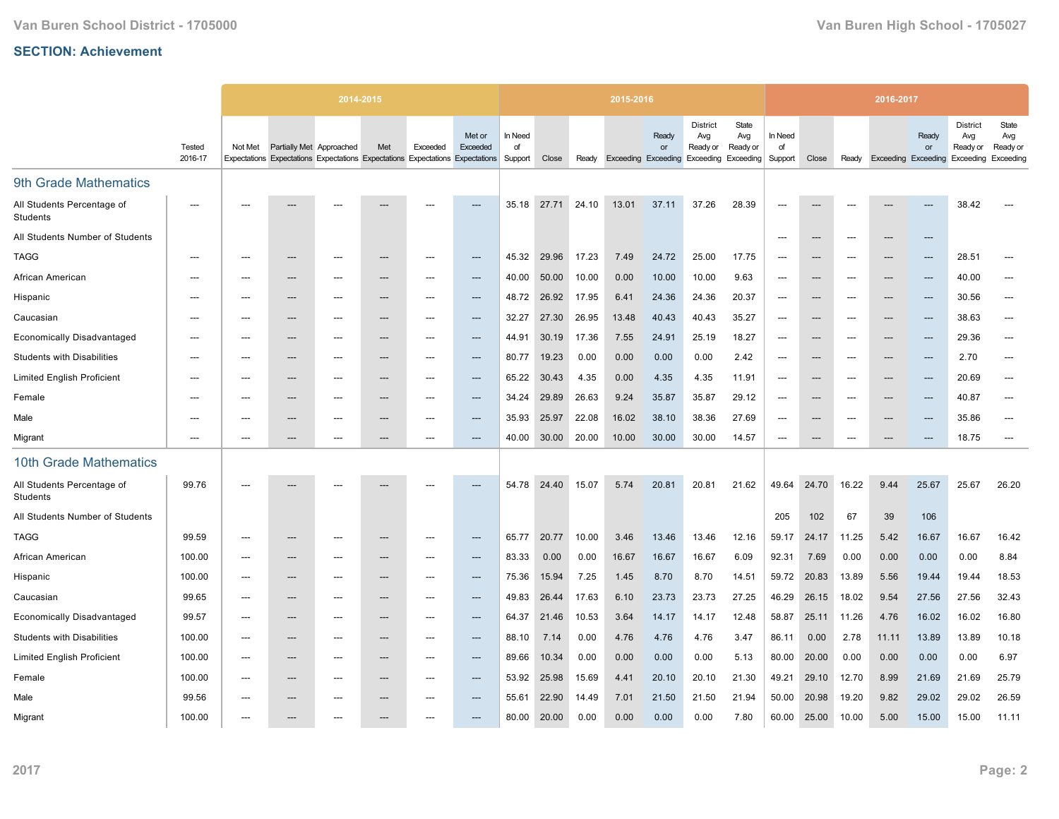|                                               |                   |                |                          | 2014-2015                                                                     |       |                          |                    |                          |       |       | 2015-2016                  |             |                                    |                                                        |                          |       |                          | 2016-2017                  |                          |                                                           |                          |
|-----------------------------------------------|-------------------|----------------|--------------------------|-------------------------------------------------------------------------------|-------|--------------------------|--------------------|--------------------------|-------|-------|----------------------------|-------------|------------------------------------|--------------------------------------------------------|--------------------------|-------|--------------------------|----------------------------|--------------------------|-----------------------------------------------------------|--------------------------|
|                                               | Tested<br>2016-17 | Not Met        | Partially Met Approached | Expectations Expectations Expectations Expectations Expectations Expectations | Met   | Exceeded                 | Met or<br>Exceeded | In Need<br>of<br>Support | Close | Ready | <b>Exceeding Exceeding</b> | Ready<br>or | <b>District</b><br>Avg<br>Ready or | State<br>Avg<br>Ready or<br><b>Exceeding Exceeding</b> | In Need<br>of<br>Support | Close | Ready                    | <b>Exceeding Exceeding</b> | Ready<br>or              | <b>District</b><br>Avg<br>Ready or<br>Exceeding Exceeding | State<br>Avg<br>Ready or |
| 9th Grade Mathematics                         |                   |                |                          |                                                                               |       |                          |                    |                          |       |       |                            |             |                                    |                                                        |                          |       |                          |                            |                          |                                                           |                          |
| All Students Percentage of<br><b>Students</b> | ---               |                |                          |                                                                               |       |                          |                    | 35.18                    | 27.71 | 24.10 | 13.01                      | 37.11       | 37.26                              | 28.39                                                  | $\overline{\phantom{a}}$ |       |                          |                            |                          | 38.42                                                     |                          |
| All Students Number of Students               |                   |                |                          |                                                                               |       |                          |                    |                          |       |       |                            |             |                                    |                                                        | $\overline{\phantom{a}}$ | ---   | ---                      | $---$                      | ---                      |                                                           |                          |
| <b>TAGG</b>                                   | ---               | ---            | ---                      | $---$                                                                         | ---   | $---$                    | ---                | 45.32                    | 29.96 | 17.23 | 7.49                       | 24.72       | 25.00                              | 17.75                                                  | $\overline{\phantom{a}}$ | ---   | $---$                    | $---$                      | $\overline{\phantom{a}}$ | 28.51                                                     | $---$                    |
| African American                              |                   |                | ---                      |                                                                               | ---   |                          | ---                | 40.00                    | 50.00 | 10.00 | 0.00                       | 10.00       | 10.00                              | 9.63                                                   | ---                      | ---   |                          | ---                        | ---                      | 40.00                                                     | ---                      |
| Hispanic                                      | $---$             | ---            | ---                      | ---                                                                           | ---   | $---$                    | ---                | 48.72                    | 26.92 | 17.95 | 6.41                       | 24.36       | 24.36                              | 20.37                                                  | ---                      | ---   | $---$                    | $---$                      | ---                      | 30.56                                                     | $\hspace{0.05cm} \ldots$ |
| Caucasian                                     | $---$             | ---            | ---                      | $---$                                                                         | ---   | $---$                    | ---                | 32.27                    | 27.30 | 26.95 | 13.48                      | 40.43       | 40.43                              | 35.27                                                  | ---                      | ---   | $---$                    | $---$                      | ---                      | 38.63                                                     | ---                      |
| <b>Economically Disadvantaged</b>             | ---               |                | ---                      | ---                                                                           | ---   |                          | ---                | 44.91                    | 30.19 | 17.36 | 7.55                       | 24.91       | 25.19                              | 18.27                                                  | ---                      | ---   |                          | ---                        | ---                      | 29.36                                                     | ---                      |
| <b>Students with Disabilities</b>             | ---               | ---            | ---                      | $---$                                                                         | ---   | $---$                    | ---                | 80.77                    | 19.23 | 0.00  | 0.00                       | 0.00        | 0.00                               | 2.42                                                   | $\overline{\phantom{a}}$ | ---   | $---$                    | $---$                      | ---                      | 2.70                                                      | $\hspace{0.05cm} \ldots$ |
| <b>Limited English Proficient</b>             | $---$             | ---            | ---                      | ---                                                                           | ---   | $---$                    | ---                | 65.22                    | 30.43 | 4.35  | 0.00                       | 4.35        | 4.35                               | 11.91                                                  | $\overline{\phantom{a}}$ | ---   | ---                      | ---                        | ---                      | 20.69                                                     | ---                      |
| Female                                        | ---               | ---            | ---                      | ---                                                                           | ---   | ---                      | ---                | 34.24                    | 29.89 | 26.63 | 9.24                       | 35.87       | 35.87                              | 29.12                                                  | ---                      | ---   |                          | ---                        | ---                      | 40.87                                                     | $\overline{a}$           |
| Male                                          | ---               | ---            | ---                      | $\overline{\phantom{a}}$                                                      | ---   | ---                      | ---                | 35.93                    | 25.97 | 22.08 | 16.02                      | 38.10       | 38.36                              | 27.69                                                  | $\overline{\phantom{a}}$ | ---   | $\overline{\phantom{a}}$ | $---$                      | ---                      | 35.86                                                     | $\overline{\phantom{a}}$ |
| Migrant                                       | ---               | ---            | ---                      | ---                                                                           | ---   |                          | ---                | 40.00                    | 30.00 | 20.00 | 10.00                      | 30.00       | 30.00                              | 14.57                                                  | ---                      | ---   | $---$                    | $---$                      | ---                      | 18.75                                                     | $\overline{\phantom{a}}$ |
| 10th Grade Mathematics                        |                   |                |                          |                                                                               |       |                          |                    |                          |       |       |                            |             |                                    |                                                        |                          |       |                          |                            |                          |                                                           |                          |
| All Students Percentage of<br>Students        | 99.76             | ---            | ---                      | $---$                                                                         | ---   |                          | ---                | 54.78                    | 24.40 | 15.07 | 5.74                       | 20.81       | 20.81                              | 21.62                                                  | 49.64                    | 24.70 | 16.22                    | 9.44                       | 25.67                    | 25.67                                                     | 26.20                    |
| All Students Number of Students               |                   |                |                          |                                                                               |       |                          |                    |                          |       |       |                            |             |                                    |                                                        | 205                      | 102   | 67                       | 39                         | 106                      |                                                           |                          |
| <b>TAGG</b>                                   | 99.59             | $\overline{a}$ | ---                      | ---                                                                           |       |                          | ---                | 65.77                    | 20.77 | 10.00 | 3.46                       | 13.46       | 13.46                              | 12.16                                                  | 59.17                    | 24.17 | 11.25                    | 5.42                       | 16.67                    | 16.67                                                     | 16.42                    |
| African American                              | 100.00            | ---            | ---                      | ---                                                                           | ---   | $---$                    | ---                | 83.33                    | 0.00  | 0.00  | 16.67                      | 16.67       | 16.67                              | 6.09                                                   | 92.31                    | 7.69  | 0.00                     | 0.00                       | 0.00                     | 0.00                                                      | 8.84                     |
| Hispanic                                      | 100.00            | $\overline{a}$ | $---$                    | ---                                                                           | ---   | $---$                    | ---                | 75.36                    | 15.94 | 7.25  | 1.45                       | 8.70        | 8.70                               | 14.51                                                  | 59.72                    | 20.83 | 13.89                    | 5.56                       | 19.44                    | 19.44                                                     | 18.53                    |
| Caucasian                                     | 99.65             | ---            | ---                      | ---                                                                           | ---   | $\overline{\phantom{a}}$ | ---                | 49.83                    | 26.44 | 17.63 | 6.10                       | 23.73       | 23.73                              | 27.25                                                  | 46.29                    | 26.15 | 18.02                    | 9.54                       | 27.56                    | 27.56                                                     | 32.43                    |
| <b>Economically Disadvantaged</b>             | 99.57             | ---            | ---                      | ---                                                                           | ---   | $---$                    | ---                | 64.37                    | 21.46 | 10.53 | 3.64                       | 14.17       | 14.17                              | 12.48                                                  | 58.87                    | 25.11 | 11.26                    | 4.76                       | 16.02                    | 16.02                                                     | 16.80                    |
| <b>Students with Disabilities</b>             | 100.00            | ---            | $---$                    | $---$                                                                         | $---$ | $---$                    | $---$              | 88.10                    | 7.14  | 0.00  | 4.76                       | 4.76        | 4.76                               | 3.47                                                   | 86.11                    | 0.00  | 2.78                     | 11.11                      | 13.89                    | 13.89                                                     | 10.18                    |
| <b>Limited English Proficient</b>             | 100.00            | ---            | ---                      | ---                                                                           | ---   | ---                      | ---                | 89.66                    | 10.34 | 0.00  | 0.00                       | 0.00        | 0.00                               | 5.13                                                   | 80.00                    | 20.00 | 0.00                     | 0.00                       | 0.00                     | 0.00                                                      | 6.97                     |
| Female                                        | 100.00            | ---            | ---                      | ---                                                                           | ---   | ---                      | ---                | 53.92                    | 25.98 | 15.69 | 4.41                       | 20.10       | 20.10                              | 21.30                                                  | 49.21                    | 29.10 | 12.70                    | 8.99                       | 21.69                    | 21.69                                                     | 25.79                    |
| Male                                          | 99.56             | ---            | ---                      | ---                                                                           | ---   | $---$                    | ---                | 55.61                    | 22.90 | 14.49 | 7.01                       | 21.50       | 21.50                              | 21.94                                                  | 50.00                    | 20.98 | 19.20                    | 9.82                       | 29.02                    | 29.02                                                     | 26.59                    |
| Migrant                                       | 100.00            | ---            |                          |                                                                               |       |                          | ---                | 80.00                    | 20.00 | 0.00  | 0.00                       | 0.00        | 0.00                               | 7.80                                                   | 60.00                    | 25.00 | 10.00                    | 5.00                       | 15.00                    | 15.00                                                     | 11.11                    |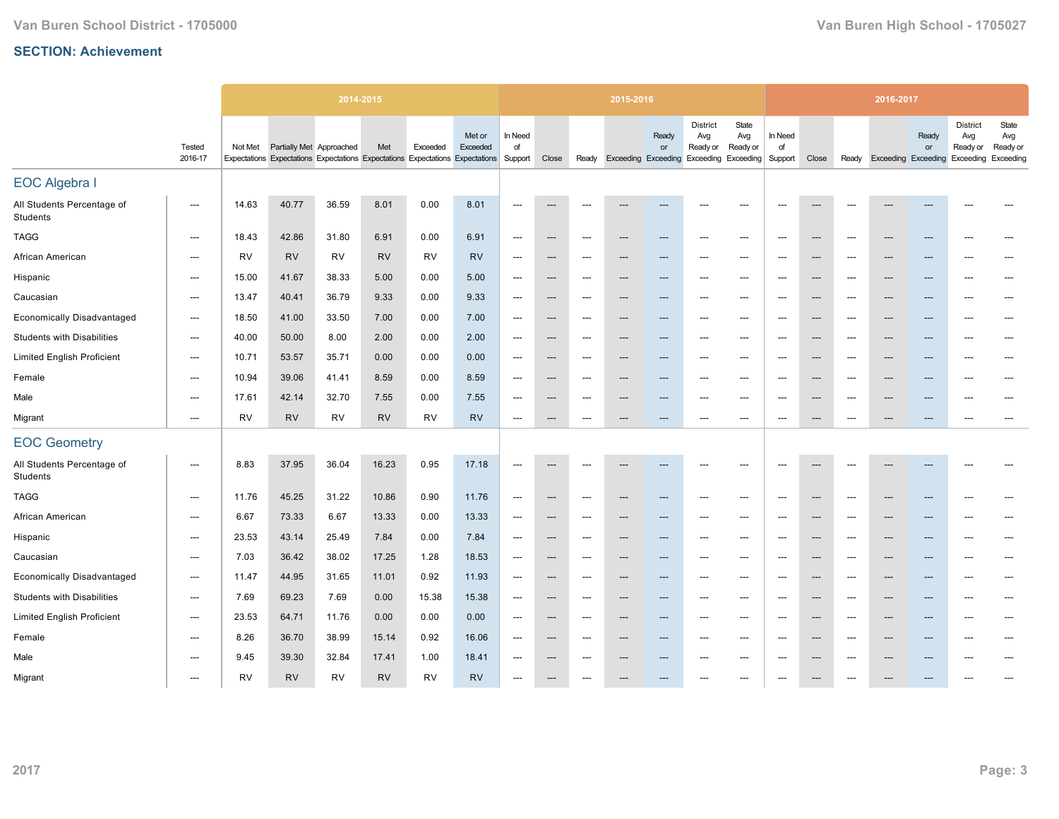|                                               |                                   |           |                          | 2014-2015                                                                     |           |           |                    |                                     |                          |                                          | 2015-2016 |                                   |                                                                                     |                                     |                          |                                   |                          | 2016-2017                 |                          |                                                 |                                       |
|-----------------------------------------------|-----------------------------------|-----------|--------------------------|-------------------------------------------------------------------------------|-----------|-----------|--------------------|-------------------------------------|--------------------------|------------------------------------------|-----------|-----------------------------------|-------------------------------------------------------------------------------------|-------------------------------------|--------------------------|-----------------------------------|--------------------------|---------------------------|--------------------------|-------------------------------------------------|---------------------------------------|
|                                               | Tested<br>2016-17                 | Not Met   | Partially Met Approached | Expectations Expectations Expectations Expectations Expectations Expectations | Met       | Exceeded  | Met or<br>Exceeded | In Need<br>of<br>Support            | Close                    |                                          |           | Ready<br>or                       | <b>District</b><br>Avg<br>Ready or<br>Ready Exceeding Exceeding Exceeding Exceeding | State<br>Avg<br>Ready or            | In Need<br>of<br>Support | Close                             |                          | Ready Exceeding Exceeding | Ready<br>or              | <b>District</b><br>Avg<br>Ready or<br>Exceeding | State<br>Avg<br>Ready or<br>Exceeding |
| <b>EOC Algebra I</b>                          |                                   |           |                          |                                                                               |           |           |                    |                                     |                          |                                          |           |                                   |                                                                                     |                                     |                          |                                   |                          |                           |                          |                                                 |                                       |
| All Students Percentage of<br>Students        | ---                               | 14.63     | 40.77                    | 36.59                                                                         | 8.01      | 0.00      | 8.01               | $---$                               | $\overline{\phantom{a}}$ | ---                                      | ---       | ---                               | $---$                                                                               | ---                                 | $---$                    | $---$                             | $---$                    | ---                       |                          | ---                                             | ---                                   |
| <b>TAGG</b>                                   | $\hspace{0.05cm} \dashrightarrow$ | 18.43     | 42.86                    | 31.80                                                                         | 6.91      | 0.00      | 6.91               | $\hspace{0.05cm} \ldots$            | $\hspace{0.05cm} \cdots$ | $\hspace{0.05cm} \cdots$                 | ---       | $\hspace{0.05cm} \dashrightarrow$ | $---$                                                                               | $\hspace{0.05cm} \ldots$            | $---$                    | ---                               | ---                      | $---$                     | ---                      | $---$                                           | $---$                                 |
| African American                              | $\hspace{0.05cm} \dashrightarrow$ | <b>RV</b> | <b>RV</b>                | RV                                                                            | <b>RV</b> | <b>RV</b> | <b>RV</b>          | $\hspace{0.05cm}---\hspace{0.05cm}$ | $---$                    | $\hspace{0.05cm} \dashrightarrow$        | ---       | ---                               | $---$                                                                               | ---                                 | $---$                    | ---                               | $---$                    | ---                       | ---                      | $---$                                           | $---$                                 |
| Hispanic                                      | $\hspace{0.05cm} \dashrightarrow$ | 15.00     | 41.67                    | 38.33                                                                         | 5.00      | 0.00      | 5.00               | $\hspace{0.05cm}---\hspace{0.05cm}$ | $\hspace{0.05cm} \ldots$ | $\hspace{0.05cm} \dashrightarrow$        | ---       | $\hspace{0.05cm} \ldots$          | $---$                                                                               | $\hspace{0.05cm}---\hspace{0.05cm}$ | $---$                    | ---                               | $---$                    | $---$                     | ---                      | $\overline{\phantom{a}}$                        | $---$                                 |
| Caucasian                                     | ---                               | 13.47     | 40.41                    | 36.79                                                                         | 9.33      | 0.00      | 9.33               | $\hspace{0.05cm}---\hspace{0.05cm}$ | ---                      | $\hspace{0.05cm} \dashrightarrow$        | ---       | $\qquad \qquad \cdots$            | $\overline{\phantom{a}}$                                                            | ---                                 | $\overline{\phantom{a}}$ | ---                               | $---$                    | ---                       | ---                      | $\overline{\phantom{a}}$                        | $---$                                 |
| <b>Economically Disadvantaged</b>             | ---                               | 18.50     | 41.00                    | 33.50                                                                         | 7.00      | 0.00      | 7.00               | $\hspace{0.05cm}---\hspace{0.05cm}$ | ---                      | $\hspace{0.05cm} \dashrightarrow$        | ---       | ---                               | ---                                                                                 | ---                                 | $\overline{\phantom{a}}$ | ---                               | $\overline{\phantom{a}}$ | ---                       |                          | ---                                             |                                       |
| <b>Students with Disabilities</b>             | ---                               | 40.00     | 50.00                    | 8.00                                                                          | 2.00      | 0.00      | 2.00               | ---                                 | $\hspace{0.05cm} \cdots$ | $\hspace{0.05cm} \dashrightarrow$        | ---       | ---                               | ---                                                                                 | ---                                 | $\overline{\phantom{a}}$ | ---                               | $\overline{\phantom{a}}$ | ---                       |                          | $\overline{\phantom{a}}$                        |                                       |
| <b>Limited English Proficient</b>             | ---                               | 10.71     | 53.57                    | 35.71                                                                         | 0.00      | 0.00      | 0.00               | $\hspace{0.05cm}---\hspace{0.05cm}$ | ---                      | ---                                      |           | ---                               |                                                                                     | ---                                 | $\overline{\phantom{a}}$ | ---                               | ---                      | ---                       |                          | ---                                             |                                       |
| Female                                        | ---                               | 10.94     | 39.06                    | 41.41                                                                         | 8.59      | 0.00      | 8.59               | $\hspace{0.05cm}---\hspace{0.05cm}$ | $\hspace{0.05cm} \ldots$ | $\hspace{0.05cm} \dashrightarrow$        | ---       | ---                               | $\overline{\phantom{a}}$                                                            | ---                                 | $\overline{\phantom{a}}$ | $\hspace{0.05cm} \ldots$          | ---                      | ---                       | ---                      | $\overline{\phantom{a}}$                        | ---                                   |
| Male                                          | ---                               | 17.61     | 42.14                    | 32.70                                                                         | 7.55      | 0.00      | 7.55               | ---                                 | $\hspace{0.05cm} \cdots$ | $\hspace{0.05cm} \cdots$                 |           | ---                               | ---                                                                                 | ---                                 | $\overline{\phantom{a}}$ | ---                               | $\overline{\phantom{a}}$ | ---                       |                          | ---                                             | ---                                   |
| Migrant                                       | $---$                             | <b>RV</b> | <b>RV</b>                | <b>RV</b>                                                                     | <b>RV</b> | <b>RV</b> | <b>RV</b>          | $\overline{\phantom{a}}$            | $\hspace{0.05cm} \cdots$ | $\hspace{0.05cm} \ldots \hspace{0.05cm}$ | ---       | ---                               | ---                                                                                 | ---                                 | $\overline{\phantom{a}}$ | ---                               | ---                      | ---                       | ---                      | $\overline{\phantom{a}}$                        | ---                                   |
| <b>EOC Geometry</b>                           |                                   |           |                          |                                                                               |           |           |                    |                                     |                          |                                          |           |                                   |                                                                                     |                                     |                          |                                   |                          |                           |                          |                                                 |                                       |
| All Students Percentage of<br><b>Students</b> | ---                               | 8.83      | 37.95                    | 36.04                                                                         | 16.23     | 0.95      | 17.18              | $\overline{\phantom{a}}$            | ---                      |                                          |           | ---                               |                                                                                     | ---                                 | $\overline{\phantom{a}}$ | ---                               |                          |                           |                          |                                                 |                                       |
| <b>TAGG</b>                                   | ---                               | 11.76     | 45.25                    | 31.22                                                                         | 10.86     | 0.90      | 11.76              | ---                                 | ---                      | ---                                      |           | ---                               |                                                                                     | ---                                 | $\overline{\phantom{a}}$ | ---                               | $\overline{\phantom{a}}$ |                           |                          | ---                                             |                                       |
| African American                              | ---                               | 6.67      | 73.33                    | 6.67                                                                          | 13.33     | 0.00      | 13.33              | ---                                 | ---                      | ---                                      |           | ---                               |                                                                                     | ---                                 | $\overline{\phantom{a}}$ | ---                               |                          | ---                       |                          | ---                                             |                                       |
| Hispanic                                      | ---                               | 23.53     | 43.14                    | 25.49                                                                         | 7.84      | 0.00      | 7.84               | ---                                 | $\overline{\phantom{a}}$ | ---                                      |           | ---                               | ---                                                                                 | ---                                 | $\overline{\phantom{a}}$ | ---                               | $\overline{\phantom{a}}$ | ---                       | ---                      | $---$                                           | $---$                                 |
| Caucasian                                     | ---                               | 7.03      | 36.42                    | 38.02                                                                         | 17.25     | 1.28      | 18.53              | ---                                 | $\hspace{0.05cm} \cdots$ | $\hspace{0.05cm} \cdots$                 | ---       | ---                               | $---$                                                                               | ---                                 | $\overline{\phantom{a}}$ | ---                               | ---                      | $\overline{\phantom{a}}$  | ---                      | ---                                             | $---$                                 |
| <b>Economically Disadvantaged</b>             | $---$                             | 11.47     | 44.95                    | 31.65                                                                         | 11.01     | 0.92      | 11.93              | $\overline{\phantom{a}}$            | $---$                    | $---$                                    | $---$     | $---$                             | $---$                                                                               | $---$                               | ---                      | $\hspace{0.05cm} \ldots$          | $---$                    | $---$                     | $---$                    | $---$                                           | $---$                                 |
| <b>Students with Disabilities</b>             | $---$                             | 7.69      | 69.23                    | 7.69                                                                          | 0.00      | 15.38     | 15.38              | ---                                 | $---$                    | $---$                                    | ---       | $---$                             | $---$                                                                               | $---$                               | $---$                    | $\hspace{0.05cm} \ldots$          | $---$                    | $---$                     | $---$                    | $---$                                           | $---$                                 |
| <b>Limited English Proficient</b>             | $\hspace{0.05cm} \ldots$          | 23.53     | 64.71                    | 11.76                                                                         | 0.00      | 0.00      | 0.00               | ---                                 | $---$                    | $\hspace{0.05cm} \ldots$                 | ---       | $\hspace{0.05cm} \ldots$          | $---$                                                                               | $\hspace{0.05cm} \ldots$            | $---$                    | $\hspace{0.05cm} \dashrightarrow$ | $---$                    | $---$                     | $\overline{\phantom{a}}$ | $---$                                           | $---$                                 |
| Female                                        | $---$                             | 8.26      | 36.70                    | 38.99                                                                         | 15.14     | 0.92      | 16.06              | ---                                 | $\hspace{0.05cm} \ldots$ | $---$                                    | ---       | $---$                             | $---$                                                                               | $\hspace{0.05cm} \ldots$            | $---$                    | $\hspace{0.05cm} \ldots$          | $---$                    | $\overline{\phantom{a}}$  | $\overline{\phantom{a}}$ | $---$                                           | $---$                                 |
| Male                                          | $---$                             | 9.45      | 39.30                    | 32.84                                                                         | 17.41     | 1.00      | 18.41              | $---$                               | $---$                    | $---$                                    | ---       | $---$                             | $---$                                                                               | $---$                               | $---$                    | $---$                             | $---$                    | $\overline{\phantom{a}}$  | ---                      | $---$                                           | $---$                                 |
| Migrant                                       | $---$                             | <b>RV</b> | <b>RV</b>                | <b>RV</b>                                                                     | <b>RV</b> | <b>RV</b> | <b>RV</b>          | $---$                               | $\hspace{0.05cm} \ldots$ | ---                                      | ---       | ---                               | ---                                                                                 | $---$                               | $---$                    | $\hspace{0.05cm} \ldots$          | ---                      | ---                       |                          | ---                                             | ---                                   |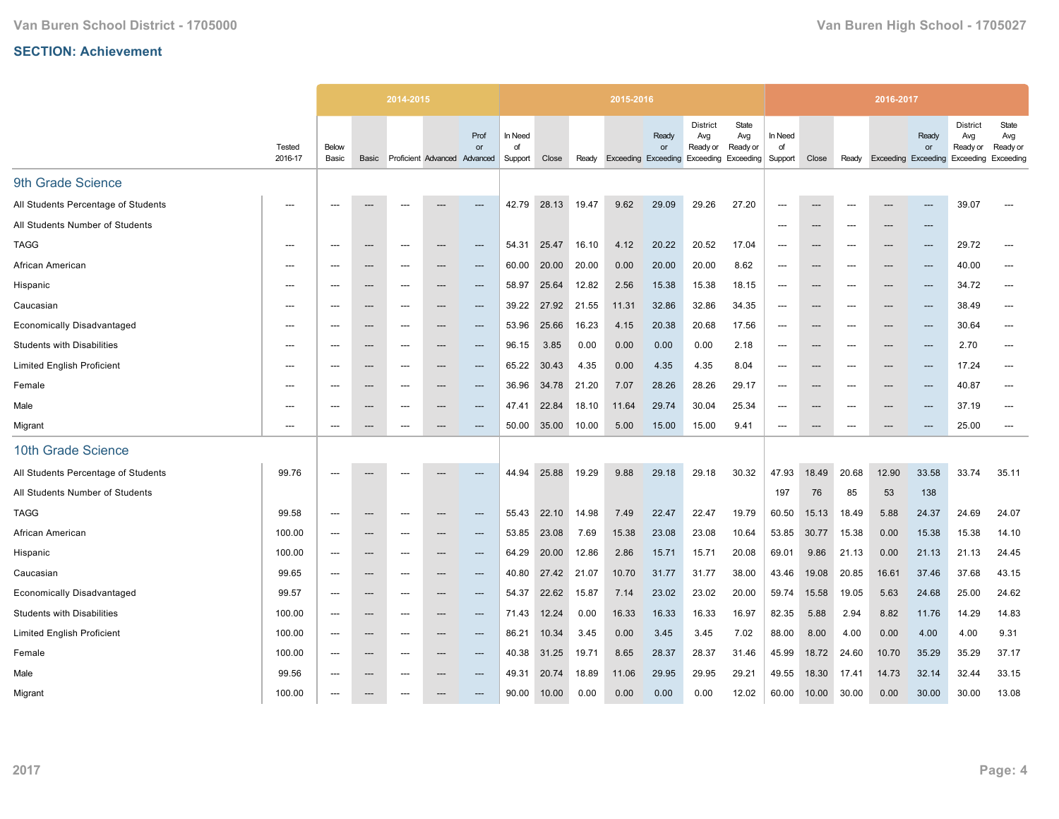|                                     |                   |                          |                                   | 2014-2015                |                              |                        |                          |       |       | 2015-2016 |                                                  |                                    |                                                 |                          |                          |                          | 2016-2017                  |             |                                                           |                          |
|-------------------------------------|-------------------|--------------------------|-----------------------------------|--------------------------|------------------------------|------------------------|--------------------------|-------|-------|-----------|--------------------------------------------------|------------------------------------|-------------------------------------------------|--------------------------|--------------------------|--------------------------|----------------------------|-------------|-----------------------------------------------------------|--------------------------|
|                                     | Tested<br>2016-17 | Below<br>Basic           | Basic                             |                          | Proficient Advanced Advanced | Prof<br>or             | In Need<br>of<br>Support | Close | Ready |           | Ready<br><b>or</b><br><b>Exceeding Exceeding</b> | <b>District</b><br>Avg<br>Ready or | State<br>Avg<br>Ready or<br>Exceeding Exceeding | In Need<br>of<br>Support | Close                    | Ready                    | <b>Exceeding Exceeding</b> | Ready<br>or | <b>District</b><br>Avg<br>Ready or<br>Exceeding Exceeding | State<br>Avg<br>Ready or |
| 9th Grade Science                   |                   |                          |                                   |                          |                              |                        |                          |       |       |           |                                                  |                                    |                                                 |                          |                          |                          |                            |             |                                                           |                          |
| All Students Percentage of Students | $---$             | $---$                    |                                   | $---$                    |                              | ---                    | 42.79                    | 28.13 | 19.47 | 9.62      | 29.09                                            | 29.26                              | 27.20                                           | $---$                    | ---                      | $\overline{\phantom{a}}$ | ---                        | $---$       | 39.07                                                     |                          |
| All Students Number of Students     |                   |                          |                                   |                          |                              |                        |                          |       |       |           |                                                  |                                    |                                                 | ---                      | ---                      | $\overline{\phantom{a}}$ | ---                        | ---         |                                                           |                          |
| <b>TAGG</b>                         | ---               | $---$                    | $---$                             | $---$                    | $\overline{a}$               | $---$                  | 54.31                    | 25.47 | 16.10 | 4.12      | 20.22                                            | 20.52                              | 17.04                                           | $---$                    | ---                      | $\overline{\phantom{a}}$ | $---$                      | $---$       | 29.72                                                     | ---                      |
| African American                    | $---$             |                          | $---$                             | $\hspace{0.05cm} \ldots$ | ---                          | $\qquad \qquad \cdots$ | 60.00                    | 20.00 | 20.00 | 0.00      | 20.00                                            | 20.00                              | 8.62                                            | $\overline{\phantom{a}}$ | ---                      |                          | ---                        | ---         | 40.00                                                     | ---                      |
| Hispanic                            |                   |                          | ---                               |                          |                              | ---                    | 58.97                    | 25.64 | 12.82 | 2.56      | 15.38                                            | 15.38                              | 18.15                                           | ---                      | ---                      |                          | ---                        | ---         | 34.72                                                     | ---                      |
| Caucasian                           | $---$             | $---$                    | $\hspace{0.05cm} \ldots$          | $---$                    | ---                          | $---$                  | 39.22                    | 27.92 | 21.55 | 11.31     | 32.86                                            | 32.86                              | 34.35                                           | $---$                    | $---$                    | $---$                    | $---$                      | $---$       | 38.49                                                     | $\overline{\phantom{a}}$ |
| <b>Economically Disadvantaged</b>   | $---$             | $---$                    | $---$                             | $\hspace{0.05cm} \ldots$ | ---                          | $\qquad \qquad \cdots$ | 53.96                    | 25.66 | 16.23 | 4.15      | 20.38                                            | 20.68                              | 17.56                                           | $---$                    | $\hspace{0.05cm} \ldots$ | ---                      | $\overline{\phantom{a}}$   | ---         | 30.64                                                     | ---                      |
| <b>Students with Disabilities</b>   | ---               |                          | ---                               | ---                      | ---                          | ---                    | 96.15                    | 3.85  | 0.00  | 0.00      | 0.00                                             | 0.00                               | 2.18                                            | ---                      | ---                      |                          | ---                        | ---         | 2.70                                                      | ---                      |
| <b>Limited English Proficient</b>   | $---$             | $---$                    | $---$                             | ---                      | ---                          | $---$                  | 65.22                    | 30.43 | 4.35  | 0.00      | 4.35                                             | 4.35                               | 8.04                                            | $---$                    | $---$                    | $---$                    | $\overline{\phantom{a}}$   | ---         | 17.24                                                     | ---                      |
| Female                              | ---               |                          | $---$                             | ---                      | ---                          | ---                    | 36.96                    | 34.78 | 21.20 | 7.07      | 28.26                                            | 28.26                              | 29.17                                           | ---                      | ---                      |                          | ---                        | $---$       | 40.87                                                     | ---                      |
| Male                                | ---               | $---$                    | $\hspace{0.05cm} \ldots$          | $---$                    | ---                          | $\qquad \qquad \cdots$ | 47.41                    | 22.84 | 18.10 | 11.64     | 29.74                                            | 30.04                              | 25.34                                           | $\overline{\phantom{a}}$ | ---                      | $---$                    | $---$                      | ---         | 37.19                                                     | $\hspace{0.05cm} \ldots$ |
| Migrant                             | $---$             | $---$                    | $---$                             | $---$                    | ---                          | $---$                  | 50.00                    | 35.00 | 10.00 | 5.00      | 15.00                                            | 15.00                              | 9.41                                            | $---$                    | $---$                    | $---$                    | $\overline{\phantom{a}}$   | $---$       | 25.00                                                     | $\overline{\phantom{a}}$ |
| 10th Grade Science                  |                   |                          |                                   |                          |                              |                        |                          |       |       |           |                                                  |                                    |                                                 |                          |                          |                          |                            |             |                                                           |                          |
| All Students Percentage of Students | 99.76             |                          |                                   |                          |                              | ---                    | 44.94                    | 25.88 | 19.29 | 9.88      | 29.18                                            | 29.18                              | 30.32                                           | 47.93                    | 18.49                    | 20.68                    | 12.90                      | 33.58       | 33.74                                                     | 35.11                    |
| All Students Number of Students     |                   |                          |                                   |                          |                              |                        |                          |       |       |           |                                                  |                                    |                                                 | 197                      | 76                       | 85                       | 53                         | 138         |                                                           |                          |
| <b>TAGG</b>                         | 99.58             | $\overline{\phantom{a}}$ | $\hspace{0.05cm} \cdots$          | $\hspace{0.05cm} \ldots$ | ---                          | $\qquad \qquad \cdots$ | 55.43                    | 22.10 | 14.98 | 7.49      | 22.47                                            | 22.47                              | 19.79                                           | 60.50                    | 15.13                    | 18.49                    | 5.88                       | 24.37       | 24.69                                                     | 24.07                    |
| African American                    | 100.00            | $\overline{\phantom{a}}$ | ---                               | ---                      |                              | ---                    | 53.85                    | 23.08 | 7.69  | 15.38     | 23.08                                            | 23.08                              | 10.64                                           | 53.85                    | 30.77                    | 15.38                    | 0.00                       | 15.38       | 15.38                                                     | 14.10                    |
| Hispanic                            | 100.00            | ---                      | $---$                             | $---$                    | $---$                        | $---$                  | 64.29                    | 20.00 | 12.86 | 2.86      | 15.71                                            | 15.71                              | 20.08                                           | 69.01                    | 9.86                     | 21.13                    | 0.00                       | 21.13       | 21.13                                                     | 24.45                    |
| Caucasian                           | 99.65             | $---$                    | $\hspace{0.05cm} \dashrightarrow$ | $---$                    | ---                          | $\qquad \qquad \cdots$ | 40.80                    | 27.42 | 21.07 | 10.70     | 31.77                                            | 31.77                              | 38.00                                           | 43.46                    | 19.08                    | 20.85                    | 16.61                      | 37.46       | 37.68                                                     | 43.15                    |
| <b>Economically Disadvantaged</b>   | 99.57             | ---                      | ---                               | ---                      | ---                          | ---                    | 54.37                    | 22.62 | 15.87 | 7.14      | 23.02                                            | 23.02                              | 20.00                                           | 59.74                    | 15.58                    | 19.05                    | 5.63                       | 24.68       | 25.00                                                     | 24.62                    |
| <b>Students with Disabilities</b>   | 100.00            | ---                      | $---$                             | $---$                    | ---                          | $\qquad \qquad \cdots$ | 71.43                    | 12.24 | 0.00  | 16.33     | 16.33                                            | 16.33                              | 16.97                                           | 82.35                    | 5.88                     | 2.94                     | 8.82                       | 11.76       | 14.29                                                     | 14.83                    |
| <b>Limited English Proficient</b>   | 100.00            | $---$                    | $\hspace{0.05cm} \ldots$          | $---$                    | ---                          | $\qquad \qquad \cdots$ | 86.21                    | 10.34 | 3.45  | 0.00      | 3.45                                             | 3.45                               | 7.02                                            | 88.00                    | 8.00                     | 4.00                     | 0.00                       | 4.00        | 4.00                                                      | 9.31                     |
| Female                              | 100.00            | $\overline{\phantom{a}}$ | ---                               | ---                      | ---                          | ---                    | 40.38                    | 31.25 | 19.71 | 8.65      | 28.37                                            | 28.37                              | 31.46                                           | 45.99                    | 18.72                    | 24.60                    | 10.70                      | 35.29       | 35.29                                                     | 37.17                    |
| Male                                | 99.56             | $---$                    | $---$                             | $---$                    | ---                          | $---$                  | 49.31                    | 20.74 | 18.89 | 11.06     | 29.95                                            | 29.95                              | 29.21                                           | 49.55                    | 18.30                    | 17.41                    | 14.73                      | 32.14       | 32.44                                                     | 33.15                    |
| Migrant                             | 100.00            |                          |                                   |                          |                              | ---                    | 90.00                    | 10.00 | 0.00  | 0.00      | 0.00                                             | 0.00                               | 12.02                                           | 60.00                    | 10.00                    | 30.00                    | 0.00                       | 30.00       | 30.00                                                     | 13.08                    |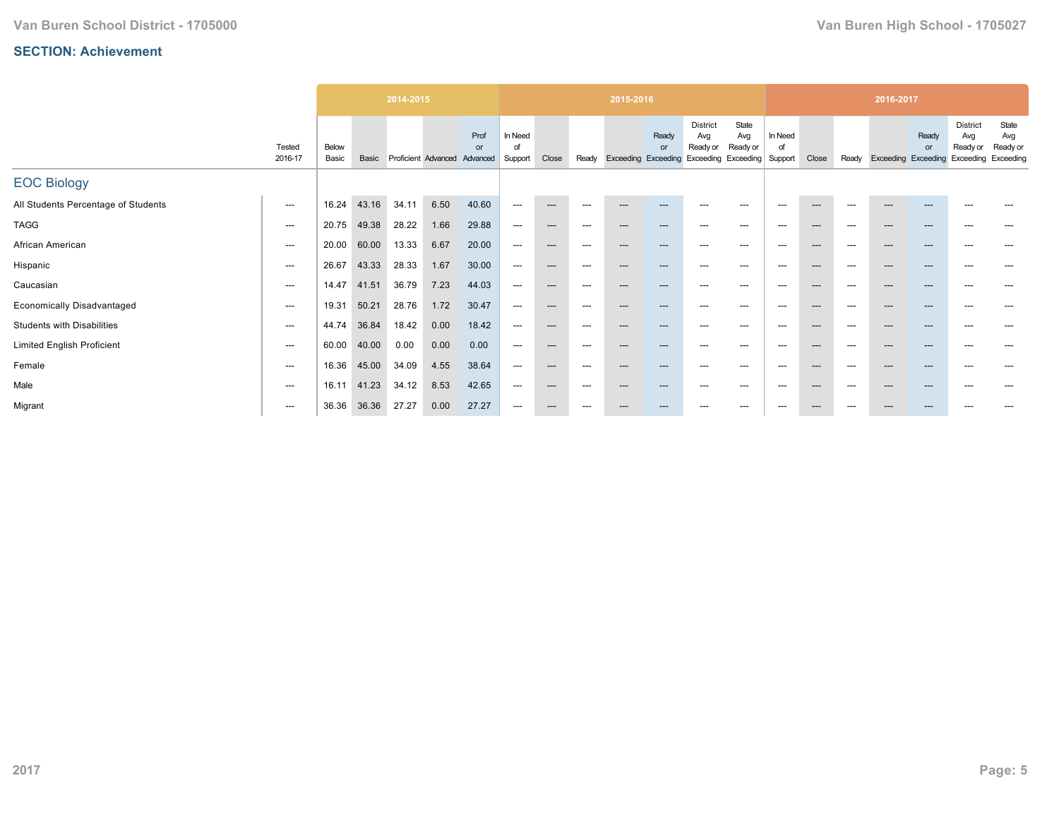|                                     |                   |                |       | 2014-2015 |                              |            |                          |       |                          | 2015-2016              |                                           |                                    |                                                 |                          |                          |       | 2016-2017                  |             |                                    |                                                 |
|-------------------------------------|-------------------|----------------|-------|-----------|------------------------------|------------|--------------------------|-------|--------------------------|------------------------|-------------------------------------------|------------------------------------|-------------------------------------------------|--------------------------|--------------------------|-------|----------------------------|-------------|------------------------------------|-------------------------------------------------|
|                                     | Tested<br>2016-17 | Below<br>Basic | Basic |           | Proficient Advanced Advanced | Prof<br>or | In Need<br>of<br>Support | Close | Ready                    |                        | Ready<br>or<br><b>Exceeding Exceeding</b> | <b>District</b><br>Avg<br>Ready or | State<br>Avg<br>Ready or<br>Exceeding Exceeding | In Need<br>of<br>Support | Close                    | Ready | <b>Exceeding Exceeding</b> | Ready<br>or | <b>District</b><br>Avg<br>Ready or | State<br>Avg<br>Ready or<br>Exceeding Exceeding |
| <b>EOC Biology</b>                  |                   |                |       |           |                              |            |                          |       |                          |                        |                                           |                                    |                                                 |                          |                          |       |                            |             |                                    |                                                 |
| All Students Percentage of Students | $---$             | 16.24          | 43.16 | 34.11     | 6.50                         | 40.60      | $\hspace{0.05cm} \ldots$ | $---$ | $\hspace{0.05cm} \ldots$ | $---$                  | $---$                                     | $\hspace{0.05cm} \ldots$           | $---$                                           | ---                      | $\hspace{0.05cm} \cdots$ | $---$ | ---                        | $---$       | $---$                              |                                                 |
| <b>TAGG</b>                         | ---               | 20.75          | 49.38 | 28.22     | 1.66                         | 29.88      | ---                      | $---$ | $\hspace{0.05cm} \ldots$ | $---$                  | $---$                                     | $---$                              | $---$                                           | $---$                    | ---                      | $---$ | ---                        | ---         | $---$                              | ---                                             |
| African American                    | ---               | 20.00          | 60.00 | 13.33     | 6.67                         | 20.00      | ---                      | $---$ | $\hspace{0.05cm} \ldots$ | $---$                  | $---$                                     | $---$                              | $---$                                           | $---$                    | ---                      | $---$ | ---                        | ---         | $---$                              | ---                                             |
| Hispanic                            | ---               | 26.67          | 43.33 | 28.33     | 1.67                         | 30.00      | ---                      | $---$ | $\hspace{0.05cm} \ldots$ | $---$                  | $---$                                     | $---$                              | ---                                             | $---$                    | ---                      | $---$ | ---                        | $---$       | $---$                              | ---                                             |
| Caucasian                           | ---               | 14.47          | 41.51 | 36.79     | 7.23                         | 44.03      | ---                      | $---$ | $\hspace{0.05cm} \ldots$ | $---$                  | $---$                                     | $---$                              | $---$                                           | $---$                    | $---$                    | $---$ | ---                        | ---         | $---$                              | ---                                             |
| <b>Economically Disadvantaged</b>   | ---               | 19.31          | 50.21 | 28.76     | 1.72                         | 30.47      | ---                      | $---$ | $\hspace{0.05cm} \ldots$ | $\qquad \qquad \cdots$ | $---$                                     | $\hspace{0.05cm} \ldots$           | ---                                             | $---$                    | ---                      | $---$ | ---                        | ---         | $---$                              | ---                                             |
| <b>Students with Disabilities</b>   | ---               | 44.74          | 36.84 | 18.42     | 0.00                         | 18.42      | ---                      | $---$ | $---$                    | ---                    | ---                                       | ---                                | $\hspace{0.05cm} \ldots$                        | ---                      | $\hspace{0.05cm} \cdots$ | $---$ | $---$                      | ---         | ---                                |                                                 |
| <b>Limited English Proficient</b>   | ---               | 60.00          | 40.00 | 0.00      | 0.00                         | 0.00       | ---                      | $---$ | ---                      | $---$                  | $---$                                     | $---$                              | $---$                                           | $---$                    | ---                      | $---$ | ---                        | ---         | $---$                              | $---$                                           |
| Female                              | ---               | 16.36          | 45.00 | 34.09     | 4.55                         | 38.64      | ---                      | $---$ | $\hspace{0.05cm} \ldots$ | $\qquad \qquad \cdots$ | $---$                                     | $\hspace{0.05cm} \ldots$           | $---$                                           | $---$                    | ---                      | $---$ | ---                        | $---$       | $\hspace{0.05cm} \ldots$           | ---                                             |
| Male                                | ---               | 16.11          | 41.23 | 34.12     | 8.53                         | 42.65      | ---                      | $---$ | $\hspace{0.05cm} \ldots$ | $---$                  | $---$                                     | ---                                | $\hspace{0.05cm} \ldots$                        | $---$                    | ---                      | $---$ | $---$                      | $---$       | $---$                              |                                                 |
| Migrant                             | ---               | 36.36          | 36.36 | 27.27     | 0.00                         | 27.27      | ---                      | $---$ | $---$                    | ---                    | ---                                       | ---                                | $\hspace{0.05cm} \ldots$                        | $\hspace{0.05cm} \ldots$ | $---$                    | $---$ | $---$                      | ---         |                                    |                                                 |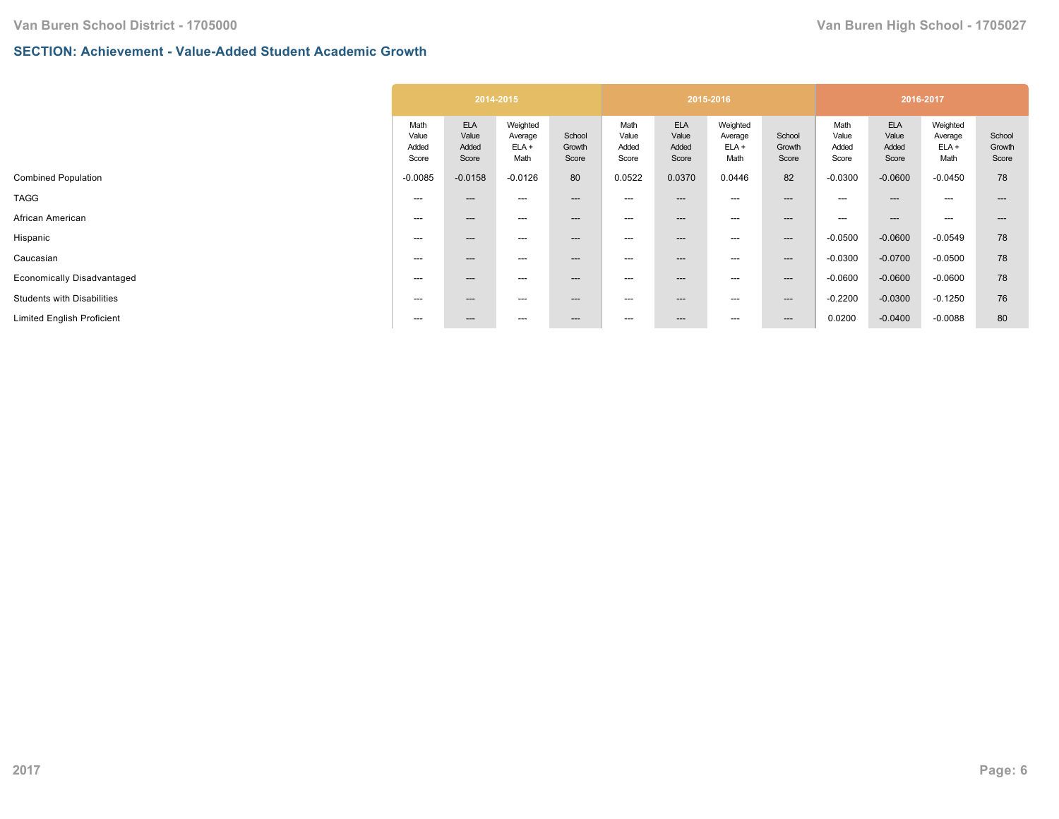## **SECTION: Achievement - Value-Added Student Academic Growth**

|                                 |                                       | 2014-2015                              |                           |                                 |                                       | 2015-2016                              |                           |                                 | 2016-2017                             |                                        |                           |
|---------------------------------|---------------------------------------|----------------------------------------|---------------------------|---------------------------------|---------------------------------------|----------------------------------------|---------------------------|---------------------------------|---------------------------------------|----------------------------------------|---------------------------|
| Math<br>Value<br>Added<br>Score | <b>ELA</b><br>Value<br>Added<br>Score | Weighted<br>Average<br>$ELA +$<br>Math | School<br>Growth<br>Score | Math<br>Value<br>Added<br>Score | <b>ELA</b><br>Value<br>Added<br>Score | Weighted<br>Average<br>$ELA +$<br>Math | School<br>Growth<br>Score | Math<br>Value<br>Added<br>Score | <b>ELA</b><br>Value<br>Added<br>Score | Weighted<br>Average<br>$ELA +$<br>Math | School<br>Growth<br>Score |
| $-0.0085$                       | $-0.0158$                             | $-0.0126$                              | 80                        | 0.0522                          | 0.0370                                | 0.0446                                 | 82                        | $-0.0300$                       | $-0.0600$                             | $-0.0450$                              | 78                        |
| ---                             | $---$                                 | ---                                    | ---                       | $\hspace{0.05cm} \ldots$        | ---                                   | ---                                    | $---$                     | ---                             | $- - -$                               | $---$                                  |                           |
| ---                             | $---$                                 | ---                                    | ---                       | ---                             | ---                                   | ---                                    | $\qquad \qquad \cdots$    | ---                             | $---$                                 | $---$                                  | ---                       |
| ---                             | $---$                                 | ---                                    | $---$                     | ---                             | ---                                   | ---                                    | $--$                      | $-0.0500$                       | $-0.0600$                             | $-0.0549$                              | 78                        |
| ---                             | $---$                                 | ---                                    | $---$                     | ---                             | ---                                   | ---                                    | $--$                      | $-0.0300$                       | $-0.0700$                             | $-0.0500$                              | 78                        |
| $---$                           | $---$                                 | ---                                    | $---$                     | ---                             | ---                                   | ---                                    | $--$                      | $-0.0600$                       | $-0.0600$                             | $-0.0600$                              | 78                        |
| $---$                           | $---$                                 | ---                                    | $---$                     | ---                             | ---                                   | ---                                    | $--$                      | $-0.2200$                       | $-0.0300$                             | $-0.1250$                              | 76                        |
| ---                             | $---$                                 | ---                                    | $---$                     | $\hspace{0.05cm} \ldots$        | ---                                   | ---                                    | $---$                     | 0.0200                          | $-0.0400$                             | $-0.0088$                              | 80                        |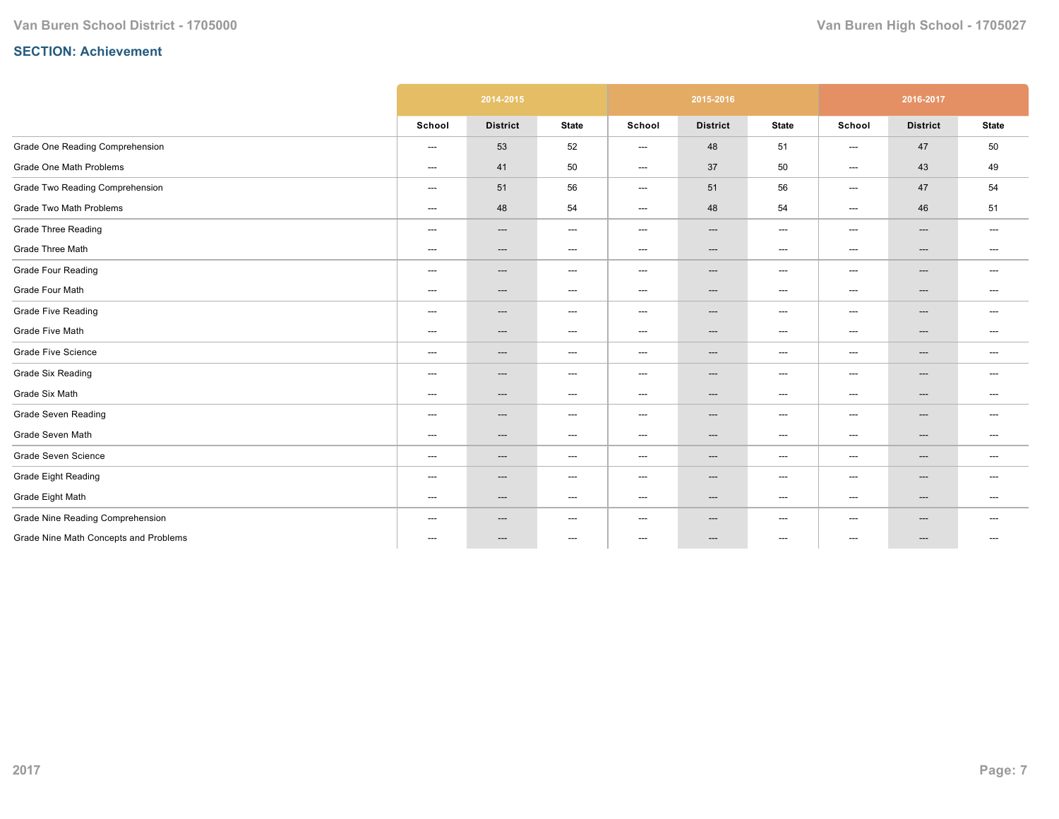|                                       |                                   | 2014-2015                         |                                   |                        | 2015-2016                         |                                   |                        | 2016-2017                         |                                     |
|---------------------------------------|-----------------------------------|-----------------------------------|-----------------------------------|------------------------|-----------------------------------|-----------------------------------|------------------------|-----------------------------------|-------------------------------------|
|                                       | School                            | <b>District</b>                   | <b>State</b>                      | School                 | <b>District</b>                   | <b>State</b>                      | School                 | <b>District</b>                   | <b>State</b>                        |
| Grade One Reading Comprehension       | ---                               | 53                                | 52                                | ---                    | 48                                | 51                                | ---                    | 47                                | 50                                  |
| Grade One Math Problems               | ---                               | 41                                | 50                                | ---                    | 37                                | 50                                | ---                    | 43                                | 49                                  |
| Grade Two Reading Comprehension       | ---                               | 51                                | 56                                | ---                    | 51                                | 56                                | ---                    | 47                                | 54                                  |
| Grade Two Math Problems               | $\hspace{0.05cm} \ldots$          | 48                                | 54                                | ---                    | 48                                | 54                                | ---                    | 46                                | 51                                  |
| <b>Grade Three Reading</b>            | ---                               | $\hspace{0.05cm} \dashrightarrow$ | $\hspace{0.05cm} \dashrightarrow$ | ---                    | $\hspace{0.05cm} \cdots$          | $\hspace{0.05cm} \dashrightarrow$ | ---                    | ---                               | ---                                 |
| Grade Three Math                      | ---                               | $\hspace{0.05cm} \dashrightarrow$ | $\hspace{0.05cm} \dashrightarrow$ | ---                    | $---$                             | $\hspace{0.05cm} \dashrightarrow$ | ---                    | $\hspace{0.05cm} \dashrightarrow$ | $---$                               |
| <b>Grade Four Reading</b>             | ---                               | $\hspace{0.05cm} \cdots$          | $\hspace{0.05cm} \ldots$          | ---                    | $\hspace{0.05cm} \ldots$          | $\hspace{0.05cm} \ldots$          | ---                    | $\hspace{0.05cm} \ldots$          | ---                                 |
| Grade Four Math                       | ---                               | $\hspace{0.05cm} \cdots$          | $\hspace{0.05cm} \ldots$          | ---                    | $---$                             | $\hspace{0.05cm} \ldots$          | ---                    | $\hspace{0.05cm} \ldots$          | $\hspace{0.05cm} \ldots$            |
| <b>Grade Five Reading</b>             | $\hspace{0.05cm} \dashrightarrow$ | $\hspace{0.05cm} \cdots$          | $\hspace{0.05cm} \dashrightarrow$ | ---                    | $\hspace{0.05cm} \cdots$          | $---$                             | ---                    | $\hspace{0.05cm} \cdots$          | $---$                               |
| Grade Five Math                       | ---                               | $\hspace{0.05cm} \cdots$          | $\hspace{0.05cm} \dashrightarrow$ | ---                    | $\hspace{0.05cm} \cdots$          | $\hspace{0.05cm} \dashrightarrow$ | ---                    | ---                               | ---                                 |
| <b>Grade Five Science</b>             | $\qquad \qquad \cdots$            | $\hspace{0.05cm} \cdots$          | $\hspace{0.05cm} \ldots$          | $\qquad \qquad \cdots$ | $\hspace{0.05cm} \ldots$          | $\hspace{0.05cm} \ldots$          | $\qquad \qquad \cdots$ | $\hspace{0.05cm} \ldots$          | $---$                               |
| <b>Grade Six Reading</b>              | ---                               | $\overline{\phantom{a}}$          | $\hspace{0.05cm} \ldots$          | ---                    | $\hspace{0.05cm} \ldots$          | $\hspace{0.05cm} \ldots$          | ---                    | $\hspace{0.05cm} \ldots$          | $---$                               |
| Grade Six Math                        | ---                               | $\hspace{0.05cm} \cdots$          | $\hspace{0.05cm} \dashrightarrow$ | ---                    | $\hspace{0.05cm} \dashrightarrow$ | $\hspace{0.05cm} \ldots$          | ---                    | $\hspace{0.05cm} \dashrightarrow$ | $---$                               |
| <b>Grade Seven Reading</b>            | $\hspace{0.05cm} \ldots$          | ---                               | ---                               | ---                    | ---                               | ---                               | ---                    | ---                               | $\hspace{0.05cm}---\hspace{0.05cm}$ |
| Grade Seven Math                      | ---                               | $\hspace{0.05cm} \cdots$          | $\hspace{0.05cm} \dashrightarrow$ | ---                    | $\hspace{0.05cm} \cdots$          | $\hspace{0.05cm} \dashrightarrow$ | ---                    | $\hspace{0.05cm} \cdots$          | $\hspace{0.05cm} \dashrightarrow$   |
| Grade Seven Science                   | ---                               | $\hspace{0.05cm} \cdots$          | $\hspace{0.05cm} \ldots$          | ---                    | $--$                              | $\hspace{0.05cm} \dashrightarrow$ | ---                    | $\hspace{0.05cm} \dashrightarrow$ | $\hspace{0.05cm} \ldots$            |
| Grade Eight Reading                   | ---                               | ---                               | $\hspace{0.05cm} \dashrightarrow$ | ---                    | ---                               | $\hspace{0.05cm} \dashrightarrow$ | ---                    | ---                               | $\hspace{0.05cm} \ldots$            |
| Grade Eight Math                      | ---                               | $\hspace{0.05cm} \ldots$          | $\hspace{0.05cm} \ldots$          | ---                    | $\hspace{0.05cm} \ldots$          | $\hspace{0.05cm} \dashrightarrow$ | ---                    | $\hspace{0.05cm} \ldots$          | $---$                               |
| Grade Nine Reading Comprehension      | ---                               | $\hspace{0.05cm} \dashrightarrow$ | ---                               | ---                    | $\hspace{0.05cm} \cdots$          | $---$                             | ---                    | $\hspace{0.05cm} \dashrightarrow$ | $\hspace{0.05cm} \dashrightarrow$   |
| Grade Nine Math Concepts and Problems | ---                               | ---                               | $\hspace{0.05cm} \dashrightarrow$ | ---                    | ---                               | $\hspace{0.05cm} \dashrightarrow$ | ---                    | ---                               | ---                                 |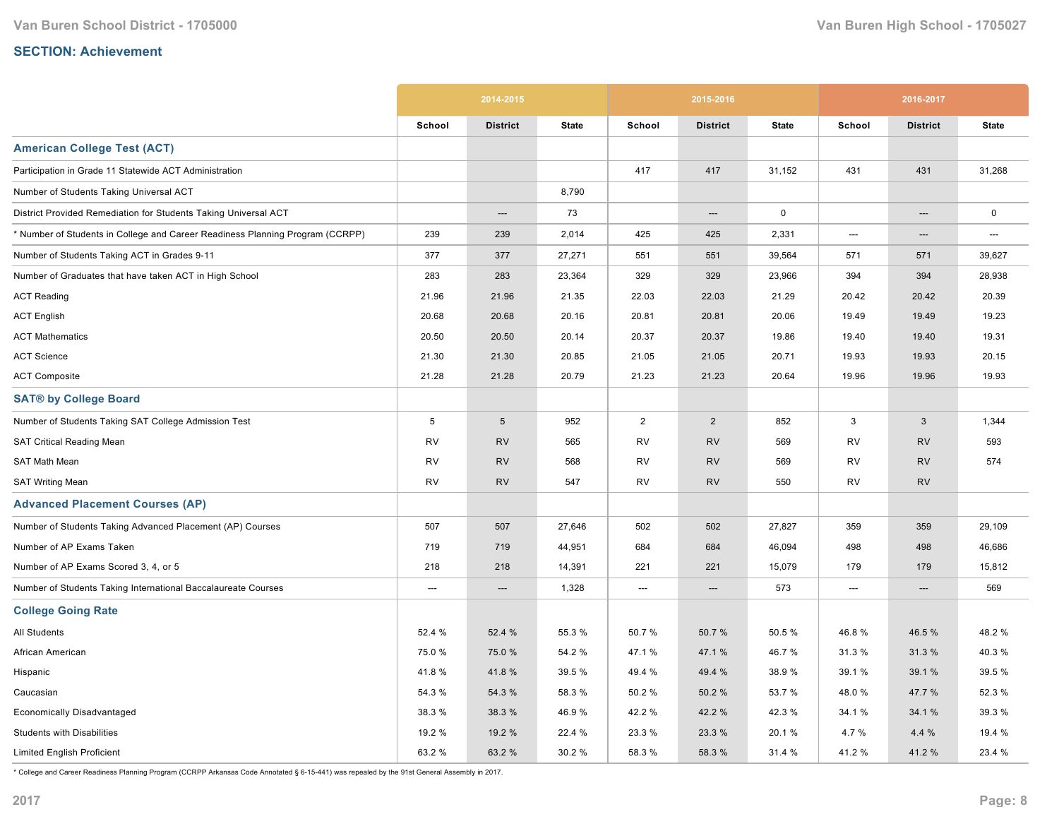|                                                                               |                 | 2014-2015       |              |                          | 2015-2016       |              |           | 2016-2017       |              |
|-------------------------------------------------------------------------------|-----------------|-----------------|--------------|--------------------------|-----------------|--------------|-----------|-----------------|--------------|
|                                                                               | School          | <b>District</b> | <b>State</b> | School                   | <b>District</b> | <b>State</b> | School    | <b>District</b> | <b>State</b> |
| <b>American College Test (ACT)</b>                                            |                 |                 |              |                          |                 |              |           |                 |              |
| Participation in Grade 11 Statewide ACT Administration                        |                 |                 |              | 417                      | 417             | 31,152       | 431       | 431             | 31,268       |
| Number of Students Taking Universal ACT                                       |                 |                 | 8,790        |                          |                 |              |           |                 |              |
| District Provided Remediation for Students Taking Universal ACT               |                 | ---             | 73           |                          | ---             | $\mathsf 0$  |           | ---             | $\mathsf 0$  |
| * Number of Students in College and Career Readiness Planning Program (CCRPP) | 239             | 239             | 2,014        | 425                      | 425             | 2,331        | ---       | ---             | ---          |
| Number of Students Taking ACT in Grades 9-11                                  | 377             | 377             | 27,271       | 551                      | 551             | 39,564       | 571       | 571             | 39,627       |
| Number of Graduates that have taken ACT in High School                        | 283             | 283             | 23,364       | 329                      | 329             | 23,966       | 394       | 394             | 28,938       |
| <b>ACT Reading</b>                                                            | 21.96           | 21.96           | 21.35        | 22.03                    | 22.03           | 21.29        | 20.42     | 20.42           | 20.39        |
| <b>ACT English</b>                                                            | 20.68           | 20.68           | 20.16        | 20.81                    | 20.81           | 20.06        | 19.49     | 19.49           | 19.23        |
| <b>ACT Mathematics</b>                                                        | 20.50           | 20.50           | 20.14        | 20.37                    | 20.37           | 19.86        | 19.40     | 19.40           | 19.31        |
| <b>ACT Science</b>                                                            | 21.30           | 21.30           | 20.85        | 21.05                    | 21.05           | 20.71        | 19.93     | 19.93           | 20.15        |
| <b>ACT Composite</b>                                                          | 21.28           | 21.28           | 20.79        | 21.23                    | 21.23           | 20.64        | 19.96     | 19.96           | 19.93        |
| <b>SAT® by College Board</b>                                                  |                 |                 |              |                          |                 |              |           |                 |              |
| Number of Students Taking SAT College Admission Test                          | $5\phantom{.0}$ | $5\phantom{.0}$ | 952          | $\overline{2}$           | $\overline{2}$  | 852          | 3         | 3               | 1,344        |
| <b>SAT Critical Reading Mean</b>                                              | <b>RV</b>       | <b>RV</b>       | 565          | <b>RV</b>                | <b>RV</b>       | 569          | RV        | <b>RV</b>       | 593          |
| SAT Math Mean                                                                 | RV              | <b>RV</b>       | 568          | <b>RV</b>                | <b>RV</b>       | 569          | RV        | <b>RV</b>       | 574          |
| <b>SAT Writing Mean</b>                                                       | <b>RV</b>       | <b>RV</b>       | 547          | <b>RV</b>                | <b>RV</b>       | 550          | <b>RV</b> | <b>RV</b>       |              |
| <b>Advanced Placement Courses (AP)</b>                                        |                 |                 |              |                          |                 |              |           |                 |              |
| Number of Students Taking Advanced Placement (AP) Courses                     | 507             | 507             | 27,646       | 502                      | 502             | 27,827       | 359       | 359             | 29,109       |
| Number of AP Exams Taken                                                      | 719             | 719             | 44,951       | 684                      | 684             | 46,094       | 498       | 498             | 46,686       |
| Number of AP Exams Scored 3, 4, or 5                                          | 218             | 218             | 14,391       | 221                      | 221             | 15,079       | 179       | 179             | 15,812       |
| Number of Students Taking International Baccalaureate Courses                 | ---             | ---             | 1,328        | $\hspace{0.05cm} \ldots$ | ---             | 573          | ---       | ---             | 569          |
| <b>College Going Rate</b>                                                     |                 |                 |              |                          |                 |              |           |                 |              |
| All Students                                                                  | 52.4 %          | 52.4 %          | 55.3 %       | 50.7%                    | 50.7%           | 50.5%        | 46.8%     | 46.5 %          | 48.2%        |
| African American                                                              | 75.0%           | 75.0 %          | 54.2 %       | 47.1 %                   | 47.1 %          | 46.7%        | 31.3 %    | 31.3 %          | 40.3%        |
| Hispanic                                                                      | 41.8%           | 41.8%           | 39.5 %       | 49.4 %                   | 49.4 %          | 38.9%        | 39.1 %    | 39.1 %          | 39.5 %       |
| Caucasian                                                                     | 54.3 %          | 54.3 %          | 58.3 %       | 50.2%                    | 50.2%           | 53.7 %       | 48.0%     | 47.7 %          | 52.3 %       |
| <b>Economically Disadvantaged</b>                                             | 38.3 %          | 38.3%           | 46.9%        | 42.2%                    | 42.2 %          | 42.3%        | 34.1 %    | 34.1 %          | 39.3 %       |
| <b>Students with Disabilities</b>                                             | 19.2 %          | 19.2 %          | 22.4 %       | 23.3%                    | 23.3 %          | 20.1%        | 4.7 %     | 4.4 %           | 19.4 %       |
| <b>Limited English Proficient</b>                                             | 63.2 %          | 63.2%           | 30.2%        | 58.3%                    | 58.3 %          | 31.4 %       | 41.2 %    | 41.2%           | 23.4 %       |

\* College and Career Readiness Planning Program (CCRPP Arkansas Code Annotated § 615441) was repealed by the 91st General Assembly in 2017.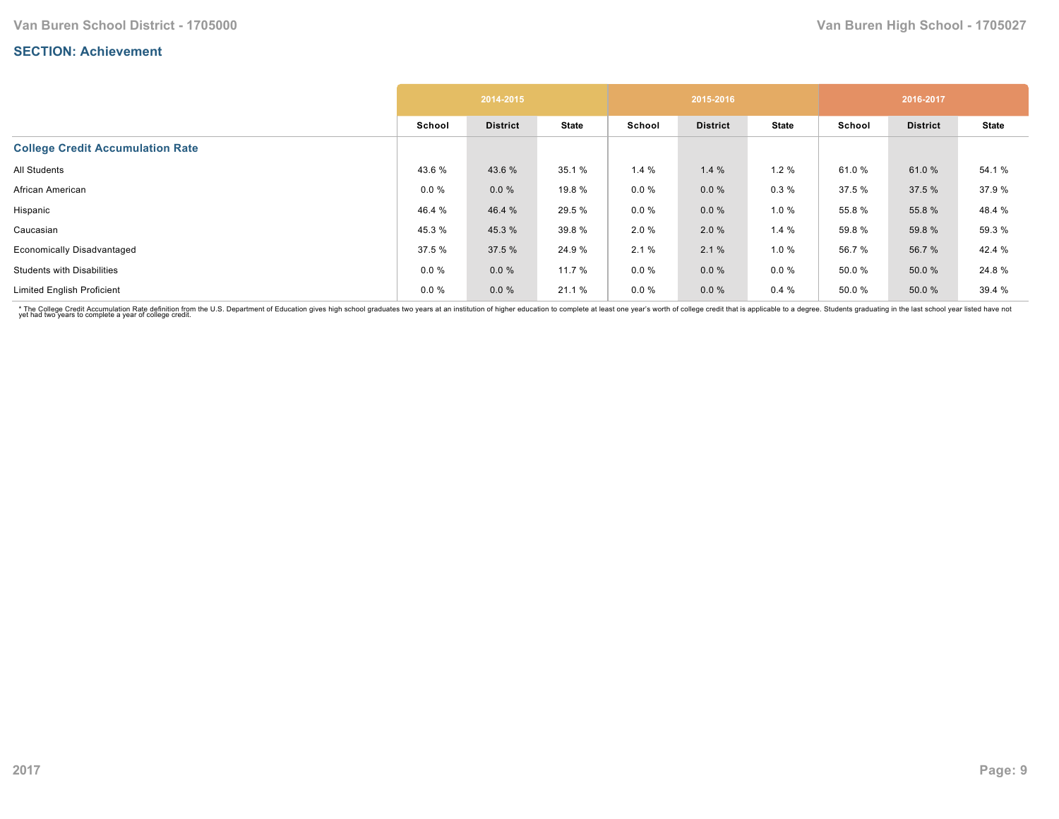|                                         |          | 2014-2015       |              |          | 2015-2016       |              |        | 2016-2017       |              |
|-----------------------------------------|----------|-----------------|--------------|----------|-----------------|--------------|--------|-----------------|--------------|
|                                         | School   | <b>District</b> | <b>State</b> | School   | <b>District</b> | <b>State</b> | School | <b>District</b> | <b>State</b> |
| <b>College Credit Accumulation Rate</b> |          |                 |              |          |                 |              |        |                 |              |
| All Students                            | 43.6%    | 43.6%           | 35.1 %       | 1.4%     | 1.4%            | 1.2%         | 61.0%  | 61.0%           | 54.1 %       |
| African American                        | $0.0 \%$ | 0.0%            | 19.8 %       | $0.0 \%$ | $0.0 \%$        | 0.3%         | 37.5 % | 37.5 %          | 37.9 %       |
| Hispanic                                | 46.4 %   | 46.4 %          | 29.5 %       | $0.0 \%$ | $0.0 \%$        | 1.0%         | 55.8%  | 55.8 %          | 48.4 %       |
| Caucasian                               | 45.3%    | 45.3%           | 39.8 %       | 2.0%     | 2.0%            | 1.4%         | 59.8%  | 59.8 %          | 59.3 %       |
| <b>Economically Disadvantaged</b>       | 37.5 %   | 37.5 %          | 24.9 %       | 2.1%     | 2.1%            | 1.0%         | 56.7%  | 56.7 %          | 42.4 %       |
| <b>Students with Disabilities</b>       | $0.0 \%$ | 0.0%            | 11.7 %       | $0.0 \%$ | $0.0 \%$        | $0.0 \%$     | 50.0%  | 50.0%           | 24.8%        |
| <b>Limited English Proficient</b>       | $0.0 \%$ | 0.0%            | 21.1 %       | $0.0 \%$ | $0.0 \%$        | 0.4%         | 50.0%  | 50.0 %          | 39.4 %       |

\* The College Credit Accumulation Rate definition from the U.S. Department of Education gives high school graduates two years at an institution of higher education to complete at least one year's worth of college credit th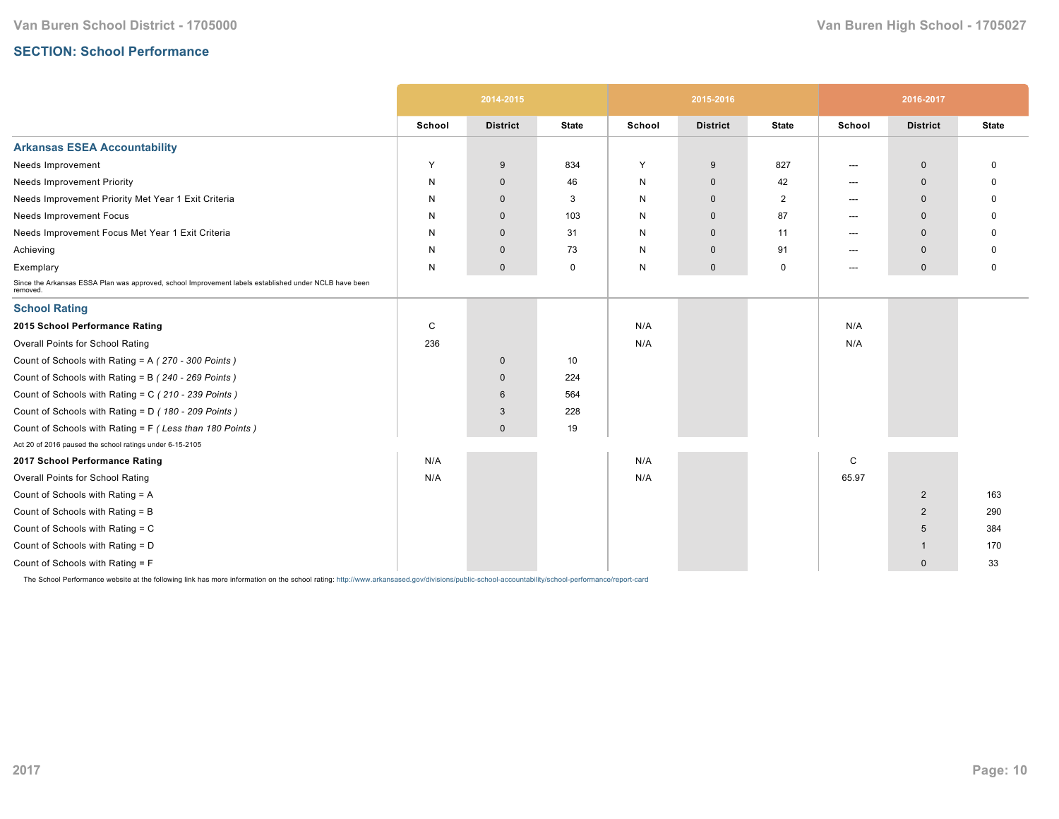## **SECTION: School Performance**

|                                                                                                                   |        | 2014-2015       |              |        | 2015-2016       |              |        | 2016-2017       |              |
|-------------------------------------------------------------------------------------------------------------------|--------|-----------------|--------------|--------|-----------------|--------------|--------|-----------------|--------------|
|                                                                                                                   | School | <b>District</b> | <b>State</b> | School | <b>District</b> | <b>State</b> | School | <b>District</b> | <b>State</b> |
| <b>Arkansas ESEA Accountability</b>                                                                               |        |                 |              |        |                 |              |        |                 |              |
| Needs Improvement                                                                                                 | Y      | 9               | 834          | Υ      | 9               | 827          | ---    | $\mathbf 0$     | 0            |
| <b>Needs Improvement Priority</b>                                                                                 | N      | $\mathbf 0$     | 46           | N      | $\mathbf 0$     | 42           | ---    | $\mathbf 0$     |              |
| Needs Improvement Priority Met Year 1 Exit Criteria                                                               | N      | $\mathbf{0}$    | 3            | N      | $\mathbf{0}$    | 2            | ---    | $\mathbf{0}$    |              |
| Needs Improvement Focus                                                                                           | N      | $\mathbf 0$     | 103          | N      | $\mathbf 0$     | 87           | ---    | $\mathbf{0}$    |              |
| Needs Improvement Focus Met Year 1 Exit Criteria                                                                  | N      | $\mathbf{0}$    | 31           | N      | $\mathbf{0}$    | 11           | ---    | $\mathbf{0}$    |              |
| Achieving                                                                                                         | N      | $\mathbf 0$     | 73           | N      | $\mathbf 0$     | 91           | ---    | $\mathbf 0$     |              |
| Exemplary                                                                                                         | N      | $\mathbf 0$     | $\mathbf 0$  | N      | $\mathbf 0$     | $\mathbf 0$  | ---    | $\mathbf 0$     | 0            |
| Since the Arkansas ESSA Plan was approved, school Improvement labels established under NCLB have been<br>removed. |        |                 |              |        |                 |              |        |                 |              |
| <b>School Rating</b>                                                                                              |        |                 |              |        |                 |              |        |                 |              |
| 2015 School Performance Rating                                                                                    | C      |                 |              | N/A    |                 |              | N/A    |                 |              |
| <b>Overall Points for School Rating</b>                                                                           | 236    |                 |              | N/A    |                 |              | N/A    |                 |              |
| Count of Schools with Rating = A (270 - 300 Points)                                                               |        | $\mathbf 0$     | 10           |        |                 |              |        |                 |              |
| Count of Schools with Rating = B (240 - 269 Points)                                                               |        | $\mathbf 0$     | 224          |        |                 |              |        |                 |              |
| Count of Schools with Rating = C (210 - 239 Points)                                                               |        | 6               | 564          |        |                 |              |        |                 |              |
| Count of Schools with Rating = D (180 - 209 Points)                                                               |        | 3               | 228          |        |                 |              |        |                 |              |
| Count of Schools with Rating = F (Less than 180 Points)                                                           |        | $\mathbf{0}$    | 19           |        |                 |              |        |                 |              |
| Act 20 of 2016 paused the school ratings under 6-15-2105                                                          |        |                 |              |        |                 |              |        |                 |              |
| 2017 School Performance Rating                                                                                    | N/A    |                 |              | N/A    |                 |              | C      |                 |              |
| Overall Points for School Rating                                                                                  | N/A    |                 |              | N/A    |                 |              | 65.97  |                 |              |
| Count of Schools with Rating = A                                                                                  |        |                 |              |        |                 |              |        | $\overline{2}$  | 163          |
| Count of Schools with Rating = B                                                                                  |        |                 |              |        |                 |              |        | $\overline{2}$  | 290          |
| Count of Schools with Rating = C                                                                                  |        |                 |              |        |                 |              |        | 5               | 384          |
| Count of Schools with Rating = D                                                                                  |        |                 |              |        |                 |              |        | $\mathbf{1}$    | 170          |
| Count of Schools with Rating = F                                                                                  |        |                 |              |        |                 |              |        | $\mathbf 0$     | 33           |

The School Performance website at the following link has more information on the school rating: http://www.arkansased.gov/divisions/public-school-accountability/school-performance/report-card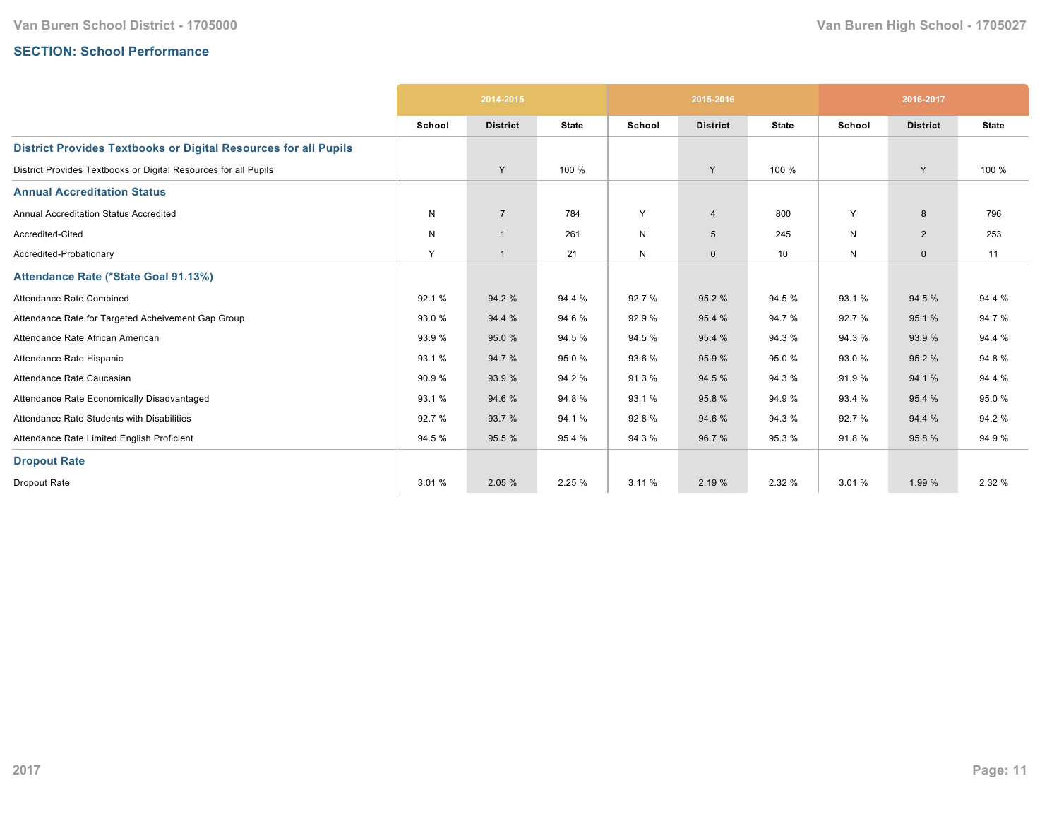## **SECTION: School Performance**

|                                                                        |        | 2014-2015       |              |        | 2015-2016       |              |              | 2016-2017       |              |
|------------------------------------------------------------------------|--------|-----------------|--------------|--------|-----------------|--------------|--------------|-----------------|--------------|
|                                                                        | School | <b>District</b> | <b>State</b> | School | <b>District</b> | <b>State</b> | School       | <b>District</b> | <b>State</b> |
| <b>District Provides Textbooks or Digital Resources for all Pupils</b> |        |                 |              |        |                 |              |              |                 |              |
| District Provides Textbooks or Digital Resources for all Pupils        |        | Y               | 100 %        |        | Y               | 100 %        |              | Y               | 100 %        |
| <b>Annual Accreditation Status</b>                                     |        |                 |              |        |                 |              |              |                 |              |
| <b>Annual Accreditation Status Accredited</b>                          | N      | $\overline{7}$  | 784          | Y      | $\overline{4}$  | 800          | Y            | 8               | 796          |
| Accredited-Cited                                                       | N      | $\mathbf{1}$    | 261          | N      | 5               | 245          | N            | $\overline{2}$  | 253          |
| Accredited-Probationary                                                | Y      | $\mathbf{1}$    | 21           | N      | $\mathbf{0}$    | 10           | $\mathsf{N}$ | $\mathbf 0$     | 11           |
| Attendance Rate (*State Goal 91.13%)                                   |        |                 |              |        |                 |              |              |                 |              |
| Attendance Rate Combined                                               | 92.1%  | 94.2 %          | 94.4 %       | 92.7%  | 95.2 %          | 94.5 %       | 93.1%        | 94.5 %          | 94.4 %       |
| Attendance Rate for Targeted Acheivement Gap Group                     | 93.0 % | 94.4 %          | 94.6%        | 92.9%  | 95.4 %          | 94.7%        | 92.7%        | 95.1 %          | 94.7%        |
| Attendance Rate African American                                       | 93.9%  | 95.0 %          | 94.5 %       | 94.5 % | 95.4 %          | 94.3%        | 94.3%        | 93.9%           | 94.4 %       |
| Attendance Rate Hispanic                                               | 93.1 % | 94.7 %          | 95.0%        | 93.6 % | 95.9 %          | 95.0%        | 93.0%        | 95.2 %          | 94.8%        |
| Attendance Rate Caucasian                                              | 90.9%  | 93.9%           | 94.2%        | 91.3%  | 94.5 %          | 94.3 %       | 91.9%        | 94.1%           | 94.4 %       |
| Attendance Rate Economically Disadvantaged                             | 93.1%  | 94.6 %          | 94.8%        | 93.1%  | 95.8%           | 94.9%        | 93.4 %       | 95.4 %          | 95.0%        |
| Attendance Rate Students with Disabilities                             | 92.7 % | 93.7 %          | 94.1%        | 92.8%  | 94.6 %          | 94.3 %       | 92.7%        | 94.4 %          | 94.2%        |
| Attendance Rate Limited English Proficient                             | 94.5 % | 95.5 %          | 95.4 %       | 94.3%  | 96.7%           | 95.3%        | 91.8%        | 95.8%           | 94.9%        |
| <b>Dropout Rate</b>                                                    |        |                 |              |        |                 |              |              |                 |              |
| Dropout Rate                                                           | 3.01 % | 2.05 %          | 2.25 %       | 3.11 % | 2.19 %          | 2.32 %       | 3.01 %       | 1.99 %          | 2.32 %       |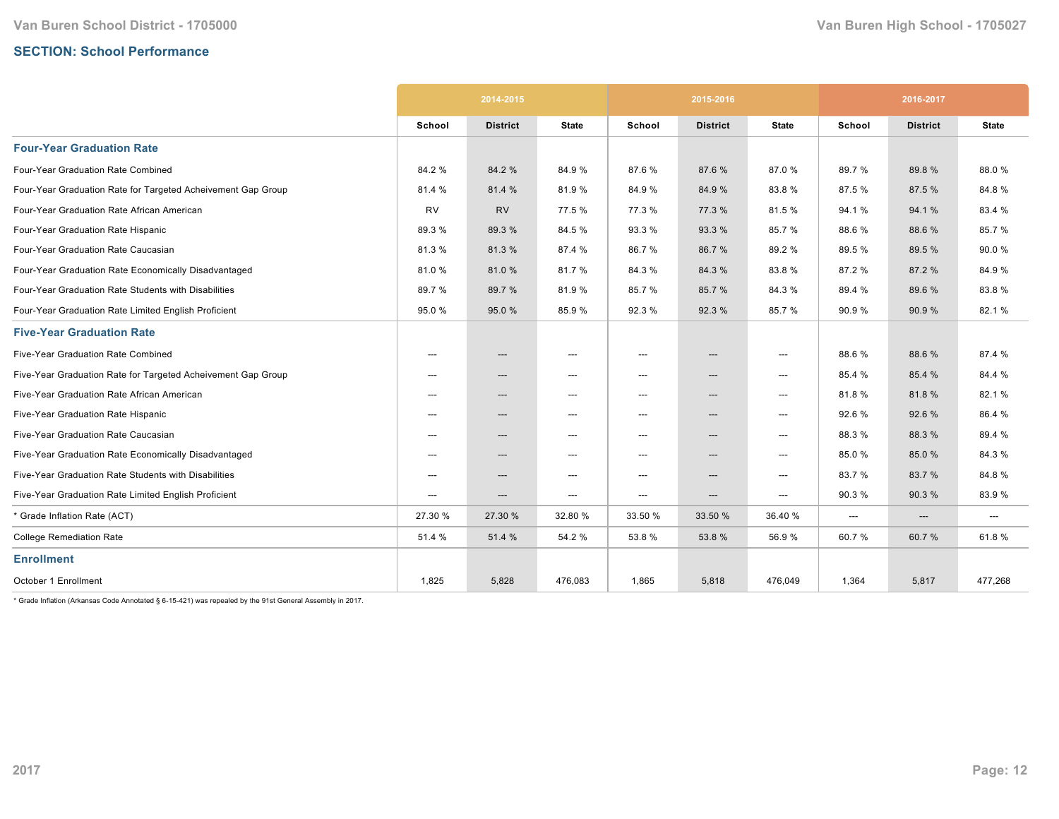## **SECTION: School Performance**

|                                                              | 2014-2015 |                          |                                   |                          | 2015-2016                         |                                          | 2016-2017 |                                   |                                   |
|--------------------------------------------------------------|-----------|--------------------------|-----------------------------------|--------------------------|-----------------------------------|------------------------------------------|-----------|-----------------------------------|-----------------------------------|
|                                                              | School    | <b>District</b>          | <b>State</b>                      | School                   | <b>District</b>                   | <b>State</b>                             | School    | <b>District</b>                   | <b>State</b>                      |
| <b>Four-Year Graduation Rate</b>                             |           |                          |                                   |                          |                                   |                                          |           |                                   |                                   |
| Four-Year Graduation Rate Combined                           | 84.2%     | 84.2 %                   | 84.9%                             | 87.6%                    | 87.6%                             | 87.0%                                    | 89.7%     | 89.8%                             | 88.0%                             |
| Four-Year Graduation Rate for Targeted Acheivement Gap Group | 81.4 %    | 81.4 %                   | 81.9%                             | 84.9%                    | 84.9 %                            | 83.8%                                    | 87.5%     | 87.5 %                            | 84.8%                             |
| Four-Year Graduation Rate African American                   | RV        | <b>RV</b>                | 77.5 %                            | 77.3 %                   | 77.3 %                            | 81.5%                                    | 94.1%     | 94.1%                             | 83.4 %                            |
| Four-Year Graduation Rate Hispanic                           | 89.3%     | 89.3%                    | 84.5%                             | 93.3%                    | 93.3 %                            | 85.7%                                    | 88.6%     | 88.6%                             | 85.7%                             |
| Four-Year Graduation Rate Caucasian                          | 81.3%     | 81.3%                    | 87.4 %                            | 86.7%                    | 86.7%                             | 89.2%                                    | 89.5%     | 89.5 %                            | 90.0%                             |
| Four-Year Graduation Rate Economically Disadvantaged         | 81.0%     | 81.0%                    | 81.7%                             | 84.3%                    | 84.3%                             | 83.8%                                    | 87.2%     | 87.2 %                            | 84.9%                             |
| Four-Year Graduation Rate Students with Disabilities         | 89.7%     | 89.7 %                   | 81.9%                             | 85.7%                    | 85.7%                             | 84.3%                                    | 89.4 %    | 89.6%                             | 83.8%                             |
| Four-Year Graduation Rate Limited English Proficient         | 95.0%     | 95.0 %                   | 85.9%                             | 92.3 %                   | 92.3 %                            | 85.7%                                    | 90.9%     | 90.9%                             | 82.1%                             |
| <b>Five-Year Graduation Rate</b>                             |           |                          |                                   |                          |                                   |                                          |           |                                   |                                   |
| Five-Year Graduation Rate Combined                           | $---$     | $\hspace{0.05cm} \cdots$ | $---$                             | $---$                    | $\hspace{0.05cm} \ldots$          | $\hspace{0.05cm}---\hspace{0.05cm}$      | 88.6%     | 88.6%                             | 87.4 %                            |
| Five-Year Graduation Rate for Targeted Acheivement Gap Group | ---       | ---                      | $\hspace{0.05cm} \ldots$          | $\hspace{0.05cm} \ldots$ | $\hspace{0.05cm} \ldots$          | ---                                      | 85.4 %    | 85.4 %                            | 84.4 %                            |
| Five-Year Graduation Rate African American                   | $---$     | $---$                    | $\hspace{0.05cm} \ldots$          | $---$                    | ---                               | $\overline{\phantom{a}}$                 | 81.8%     | 81.8%                             | 82.1%                             |
| Five-Year Graduation Rate Hispanic                           | ---       | $---$                    | $\hspace{0.05cm} \dashrightarrow$ | $\hspace{0.05cm} \ldots$ | $\hspace{0.05cm} \dashrightarrow$ | ---                                      | 92.6%     | 92.6%                             | 86.4 %                            |
| Five-Year Graduation Rate Caucasian                          | ---       | ---                      | $\hspace{0.05cm} \ldots$          | ---                      | ---                               | $\hspace{0.05cm}---\hspace{0.05cm}$      | 88.3%     | 88.3%                             | 89.4 %                            |
| Five-Year Graduation Rate Economically Disadvantaged         | ---       | $\hspace{0.05cm} \cdots$ | $\hspace{0.05cm} \ldots$          | ---                      | $---$                             | ---                                      | 85.0%     | 85.0%                             | 84.3%                             |
| Five-Year Graduation Rate Students with Disabilities         | ---       | $---$                    | $\hspace{0.05cm} \ldots$          | ---                      | ---                               | $\hspace{0.05cm}---\hspace{0.05cm}$      | 83.7%     | 83.7%                             | 84.8%                             |
| Five-Year Graduation Rate Limited English Proficient         | ---       | ---                      | $\hspace{0.05cm} \ldots$          | ---                      | ---                               | $\hspace{0.05cm} \ldots \hspace{0.05cm}$ | 90.3%     | 90.3%                             | 83.9%                             |
| * Grade Inflation Rate (ACT)                                 | 27.30 %   | 27.30 %                  | 32.80 %                           | 33.50 %                  | 33.50 %                           | 36.40 %                                  | ---       | $\hspace{0.05cm} \dashrightarrow$ | $\hspace{0.05cm} \dashrightarrow$ |
| <b>College Remediation Rate</b>                              | 51.4 %    | 51.4 %                   | 54.2 %                            | 53.8%                    | 53.8%                             | 56.9%                                    | 60.7%     | 60.7%                             | 61.8%                             |
| <b>Enrollment</b>                                            |           |                          |                                   |                          |                                   |                                          |           |                                   |                                   |
| October 1 Enrollment                                         | 1,825     | 5,828                    | 476,083                           | 1,865                    | 5,818                             | 476,049                                  | 1,364     | 5,817                             | 477,268                           |

 $*$  Grade Inflation (Arkansas Code Annotated § 6-15-421) was repealed by the 91st General Assembly in 2017.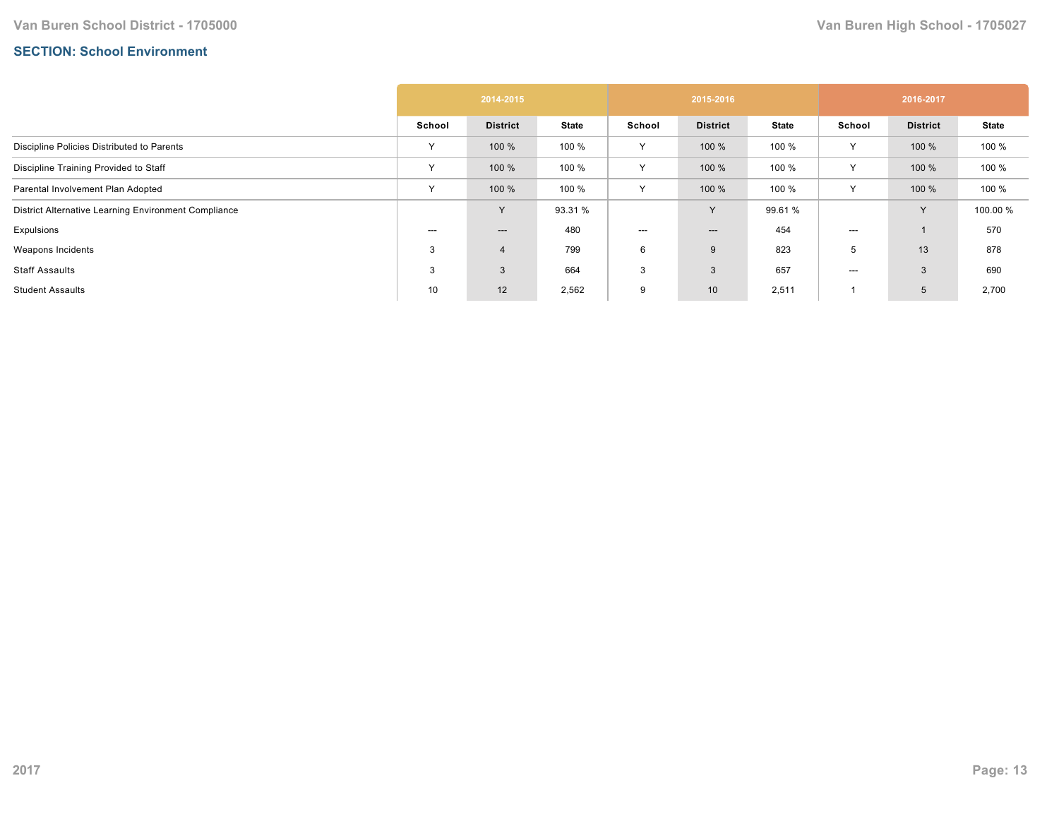## **SECTION: School Environment**

|                                                      | 2014-2015 |                 |              | 2015-2016 |                 |              | 2016-2017    |                 |              |
|------------------------------------------------------|-----------|-----------------|--------------|-----------|-----------------|--------------|--------------|-----------------|--------------|
|                                                      | School    | <b>District</b> | <b>State</b> | School    | <b>District</b> | <b>State</b> | School       | <b>District</b> | <b>State</b> |
| Discipline Policies Distributed to Parents           | Υ         | 100 %           | 100 %        | Y         | 100 %           | 100 %        | Y            | 100 %           | 100 %        |
| Discipline Training Provided to Staff                | Υ         | 100 %           | 100 %        | Y         | 100 %           | 100 %        | Y            | 100 %           | 100 %        |
| Parental Involvement Plan Adopted                    | Υ         | 100 %           | 100 %        | Y         | 100 %           | 100 %        | Υ            | 100 %           | 100 %        |
| District Alternative Learning Environment Compliance |           | <b>V</b>        | 93.31 %      |           | Y               | 99.61 %      |              | $\vee$          | 100.00 %     |
| Expulsions                                           | ---       | ---             | 480          | ---       | $---$           | 454          | $---$        |                 | 570          |
| Weapons Incidents                                    | 3         | $\overline{4}$  | 799          | 6         | 9               | 823          | <sub>5</sub> | 13              | 878          |
| Staff Assaults                                       | 3         | 3               | 664          | 3         | $\mathbf{3}$    | 657          | ---          | 3               | 690          |
| <b>Student Assaults</b>                              | 10        | 12              | 2,562        | 9         | 10              | 2,511        |              | 5               | 2,700        |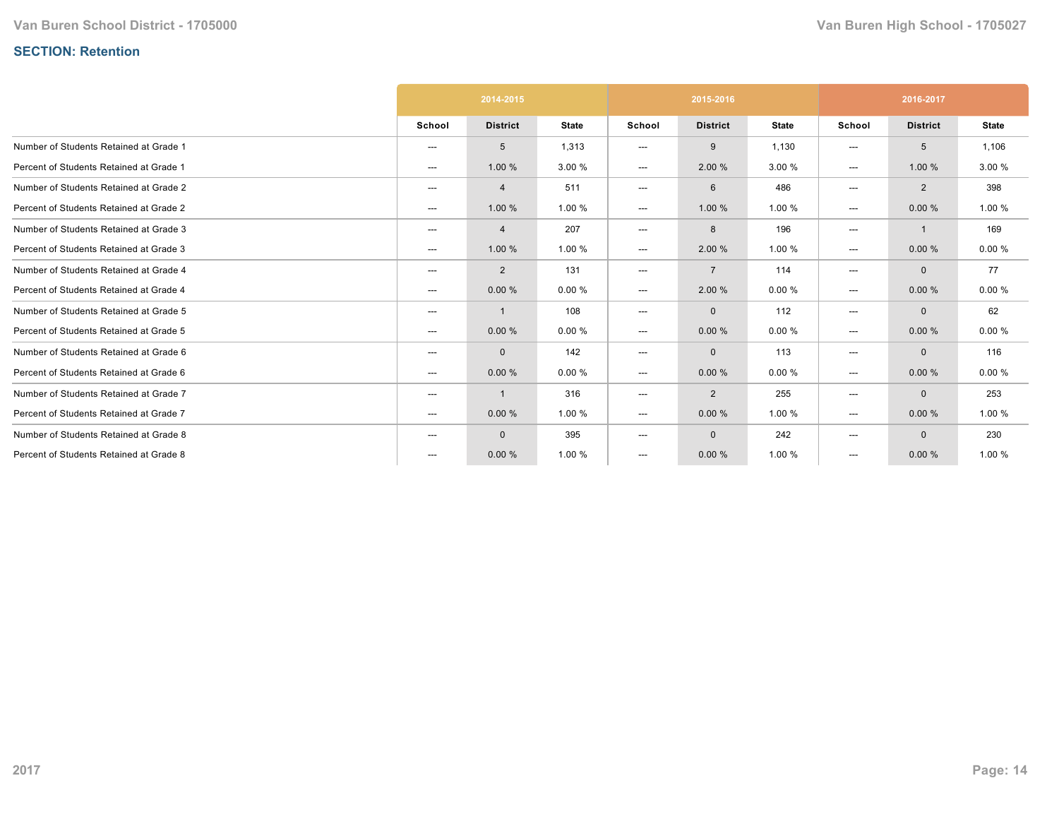# **SECTION: Retention**

|                                         | 2014-2015                |                 |              | 2015-2016              |                 |              | 2016-2017 |                 |              |
|-----------------------------------------|--------------------------|-----------------|--------------|------------------------|-----------------|--------------|-----------|-----------------|--------------|
|                                         | School                   | <b>District</b> | <b>State</b> | School                 | <b>District</b> | <b>State</b> | School    | <b>District</b> | <b>State</b> |
| Number of Students Retained at Grade 1  | $---$                    | 5               | 1,313        | ---                    | 9               | 1,130        | ---       | 5               | 1,106        |
| Percent of Students Retained at Grade 1 | ---                      | 1.00 %          | 3.00 %       | $\qquad \qquad \cdots$ | 2.00 %          | 3.00 %       | ---       | 1.00 %          | 3.00 %       |
| Number of Students Retained at Grade 2  | $\hspace{0.05cm} \ldots$ | $\overline{4}$  | 511          | ---                    | 6               | 486          | ---       | $\overline{2}$  | 398          |
| Percent of Students Retained at Grade 2 | ---                      | 1.00 %          | 1.00 %       | $\qquad \qquad \cdots$ | 1.00 %          | 1.00 %       | ---       | 0.00%           | 1.00 %       |
| Number of Students Retained at Grade 3  | ---                      | 4               | 207          | ---                    | 8               | 196          | ---       | $\mathbf{1}$    | 169          |
| Percent of Students Retained at Grade 3 | $---$                    | 1.00 %          | 1.00 %       | ---                    | 2.00 %          | 1.00 %       | ---       | 0.00%           | 0.00%        |
| Number of Students Retained at Grade 4  | ---                      | $\overline{2}$  | 131          | ---                    | $\overline{7}$  | 114          | ---       | $\mathbf{0}$    | 77           |
| Percent of Students Retained at Grade 4 | ---                      | 0.00%           | 0.00%        | ---                    | 2.00 %          | 0.00%        | ---       | 0.00%           | 0.00%        |
| Number of Students Retained at Grade 5  | ---                      | $\mathbf{1}$    | 108          | ---                    | $\mathbf 0$     | 112          | ---       | $\mathbf{0}$    | 62           |
| Percent of Students Retained at Grade 5 | ---                      | 0.00%           | 0.00%        | ---                    | 0.00%           | 0.00%        | ---       | 0.00%           | 0.00%        |
| Number of Students Retained at Grade 6  | $\hspace{0.05cm} \ldots$ | $\mathbf 0$     | 142          | ---                    | $\mathbf 0$     | 113          | ---       | $\mathbf{0}$    | 116          |
| Percent of Students Retained at Grade 6 | ---                      | 0.00%           | 0.00%        | ---                    | 0.00%           | 0.00%        | ---       | 0.00%           | 0.00%        |
| Number of Students Retained at Grade 7  | ---                      | 1               | 316          | ---                    | 2               | 255          | ---       | $\mathbf{0}$    | 253          |
| Percent of Students Retained at Grade 7 | ---                      | 0.00%           | 1.00 %       | ---                    | 0.00%           | 1.00 %       | ---       | 0.00%           | 1.00 %       |
| Number of Students Retained at Grade 8  | ---                      | $\mathbf 0$     | 395          | ---                    | $\mathbf 0$     | 242          | ---       | $\Omega$        | 230          |
| Percent of Students Retained at Grade 8 | ---                      | 0.00%           | 1.00 %       | ---                    | 0.00%           | 1.00 %       | ---       | 0.00%           | 1.00 %       |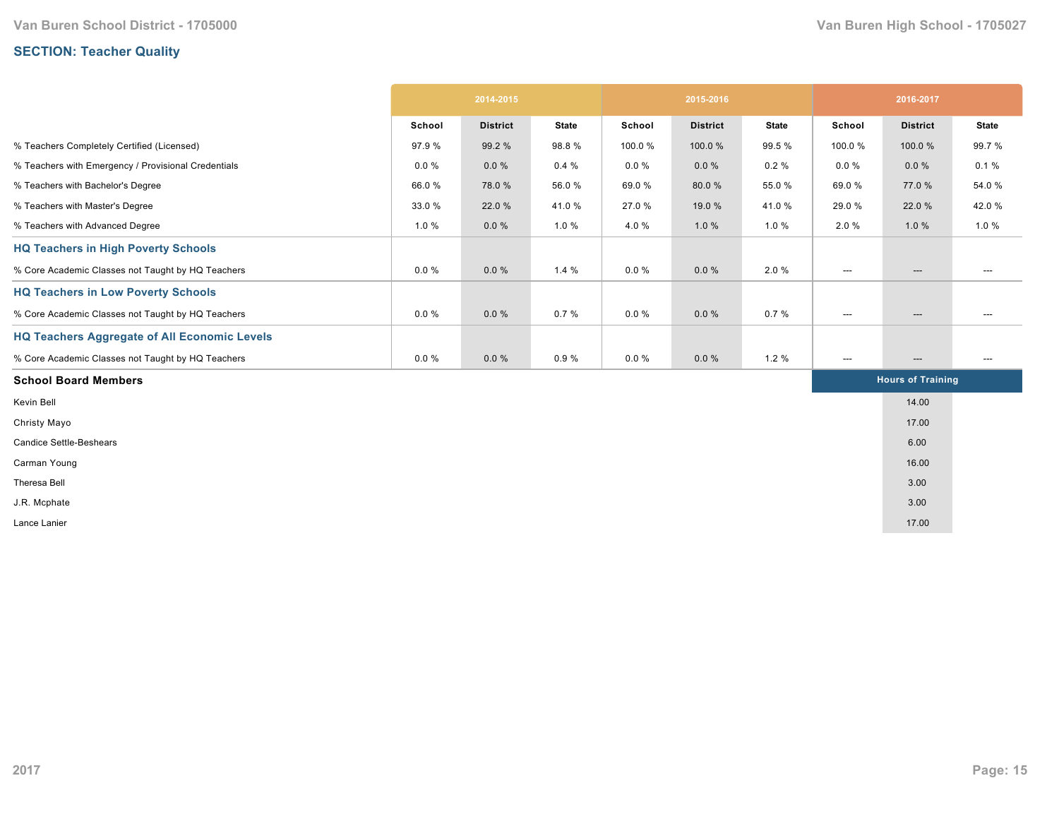# **SECTION: Teacher Quality**

|                                                     | 2014-2015 |                 | 2015-2016    |          |                 | 2016-2017    |                          |                          |                          |
|-----------------------------------------------------|-----------|-----------------|--------------|----------|-----------------|--------------|--------------------------|--------------------------|--------------------------|
|                                                     | School    | <b>District</b> | <b>State</b> | School   | <b>District</b> | <b>State</b> | School                   | <b>District</b>          | <b>State</b>             |
| % Teachers Completely Certified (Licensed)          | 97.9 %    | 99.2 %          | 98.8%        | 100.0%   | 100.0%          | 99.5 %       | 100.0%                   | 100.0%                   | 99.7 %                   |
| % Teachers with Emergency / Provisional Credentials | $0.0 \%$  | 0.0%            | 0.4%         | $0.0 \%$ | $0.0 \%$        | 0.2%         | $0.0 \%$                 | 0.0%                     | 0.1%                     |
| % Teachers with Bachelor's Degree                   | 66.0%     | 78.0%           | 56.0%        | 69.0%    | 80.0%           | 55.0%        | 69.0%                    | 77.0 %                   | 54.0%                    |
| % Teachers with Master's Degree                     | 33.0 %    | 22.0 %          | 41.0%        | 27.0 %   | 19.0 %          | 41.0%        | 29.0 %                   | 22.0 %                   | 42.0%                    |
| % Teachers with Advanced Degree                     | 1.0%      | $0.0 \%$        | 1.0%         | 4.0%     | 1.0%            | 1.0%         | 2.0%                     | 1.0%                     | 1.0%                     |
| <b>HQ Teachers in High Poverty Schools</b>          |           |                 |              |          |                 |              |                          |                          |                          |
| % Core Academic Classes not Taught by HQ Teachers   | $0.0 \%$  | 0.0%            | 1.4%         | $0.0 \%$ | $0.0 \%$        | 2.0%         | ---                      | $\hspace{0.05cm} \ldots$ |                          |
| <b>HQ Teachers in Low Poverty Schools</b>           |           |                 |              |          |                 |              |                          |                          |                          |
| % Core Academic Classes not Taught by HQ Teachers   | $0.0 \%$  | 0.0%            | 0.7%         | $0.0 \%$ | $0.0 \%$        | 0.7%         | $\hspace{0.05cm} \ldots$ | $---$                    | ---                      |
| <b>HQ Teachers Aggregate of All Economic Levels</b> |           |                 |              |          |                 |              |                          |                          |                          |
| % Core Academic Classes not Taught by HQ Teachers   | $0.0 \%$  | $0.0 \%$        | 0.9%         | $0.0 \%$ | $0.0 \%$        | 1.2%         | ---                      | $\hspace{0.05cm} \cdots$ | $\hspace{0.05cm} \ldots$ |
| <b>School Board Members</b>                         |           |                 |              |          |                 |              |                          | <b>Hours of Training</b> |                          |
| Kevin Bell                                          |           |                 |              |          |                 |              |                          | 14.00                    |                          |
| Christy Mayo                                        |           |                 |              |          |                 |              |                          | 17.00                    |                          |
| <b>Candice Settle-Beshears</b>                      |           |                 |              |          |                 |              |                          | 6.00                     |                          |
| Carman Young                                        |           |                 |              |          |                 |              |                          | 16.00                    |                          |
| Theresa Bell                                        |           |                 |              |          |                 |              |                          | 3.00                     |                          |
| J.R. Mcphate                                        |           |                 |              |          |                 |              |                          | 3.00                     |                          |
| Lance Lanier                                        |           |                 |              |          |                 |              |                          | 17.00                    |                          |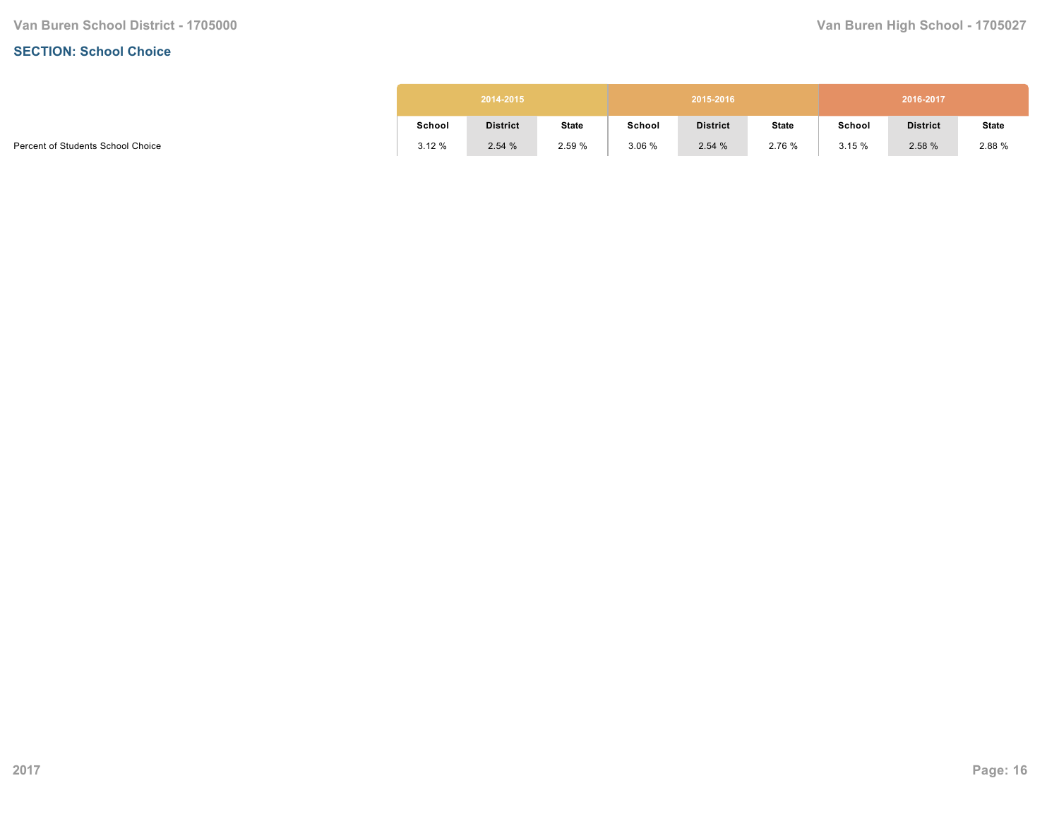#### **SECTION: School Choice**

|        | 2014-2015       |              |        | 2015-2016       |              |        | 2016-2017       |              |
|--------|-----------------|--------------|--------|-----------------|--------------|--------|-----------------|--------------|
| School | <b>District</b> | <b>State</b> | School | <b>District</b> | <b>State</b> | School | <b>District</b> | <b>State</b> |
| 3.12%  | 2.54%           | 2.59 %       | 3.06%  | 2.54%           | 2.76 %       | 3.15%  | 2.58%           | 2.88 %       |

Percent of Students School Choice